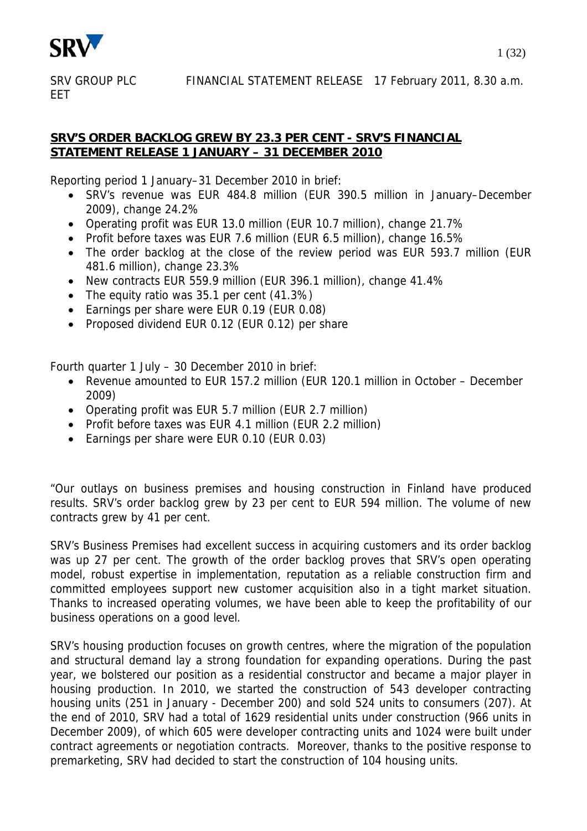

**FFT** 

## **SRV'S ORDER BACKLOG GREW BY 23.3 PER CENT - SRV'S FINANCIAL STATEMENT RELEASE 1 JANUARY – 31 DECEMBER 2010**

Reporting period 1 January–31 December 2010 in brief:

- SRV's revenue was EUR 484.8 million (EUR 390.5 million in January–December 2009), change 24.2%
- Operating profit was EUR 13.0 million (EUR 10.7 million), change 21.7%
- Profit before taxes was EUR 7.6 million (EUR 6.5 million), change 16.5%
- The order backlog at the close of the review period was EUR 593.7 million (EUR 481.6 million), change 23.3%
- New contracts EUR 559.9 million (EUR 396.1 million), change 41.4%
- The equity ratio was 35.1 per cent (41.3%)
- Earnings per share were EUR 0.19 (EUR 0.08)
- Proposed dividend EUR 0.12 (EUR 0.12) per share

Fourth quarter 1 July – 30 December 2010 in brief:

- Revenue amounted to EUR 157.2 million (EUR 120.1 million in October December 2009)
- Operating profit was EUR 5.7 million (EUR 2.7 million)
- Profit before taxes was EUR 4.1 million (EUR 2.2 million)
- Earnings per share were EUR 0.10 (EUR 0.03)

"Our outlays on business premises and housing construction in Finland have produced results. SRV's order backlog grew by 23 per cent to EUR 594 million. The volume of new contracts grew by 41 per cent.

SRV's Business Premises had excellent success in acquiring customers and its order backlog was up 27 per cent. The growth of the order backlog proves that SRV's open operating model, robust expertise in implementation, reputation as a reliable construction firm and committed employees support new customer acquisition also in a tight market situation. Thanks to increased operating volumes, we have been able to keep the profitability of our business operations on a good level.

SRV's housing production focuses on growth centres, where the migration of the population and structural demand lay a strong foundation for expanding operations. During the past year, we bolstered our position as a residential constructor and became a major player in housing production. In 2010, we started the construction of 543 developer contracting housing units (251 in January - December 200) and sold 524 units to consumers (207). At the end of 2010, SRV had a total of 1629 residential units under construction (966 units in December 2009), of which 605 were developer contracting units and 1024 were built under contract agreements or negotiation contracts. Moreover, thanks to the positive response to premarketing, SRV had decided to start the construction of 104 housing units.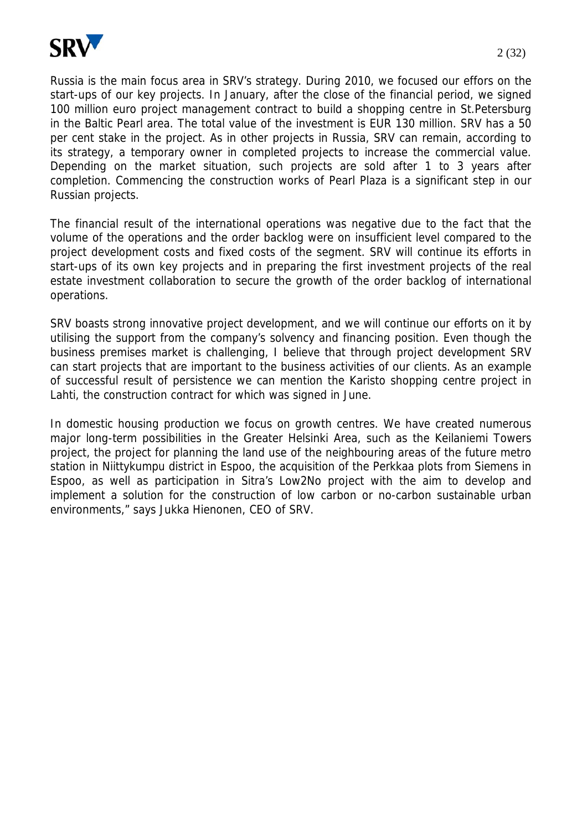

Russia is the main focus area in SRV's strategy. During 2010, we focused our effors on the start-ups of our key projects. In January, after the close of the financial period, we signed 100 million euro project management contract to build a shopping centre in St.Petersburg in the Baltic Pearl area. The total value of the investment is EUR 130 million. SRV has a 50 per cent stake in the project. As in other projects in Russia, SRV can remain, according to its strategy, a temporary owner in completed projects to increase the commercial value. Depending on the market situation, such projects are sold after 1 to 3 years after completion. Commencing the construction works of Pearl Plaza is a significant step in our Russian projects.

The financial result of the international operations was negative due to the fact that the volume of the operations and the order backlog were on insufficient level compared to the project development costs and fixed costs of the segment. SRV will continue its efforts in start-ups of its own key projects and in preparing the first investment projects of the real estate investment collaboration to secure the growth of the order backlog of international operations.

SRV boasts strong innovative project development, and we will continue our efforts on it by utilising the support from the company's solvency and financing position. Even though the business premises market is challenging, I believe that through project development SRV can start projects that are important to the business activities of our clients. As an example of successful result of persistence we can mention the Karisto shopping centre project in Lahti, the construction contract for which was signed in June.

In domestic housing production we focus on growth centres. We have created numerous major long-term possibilities in the Greater Helsinki Area, such as the Keilaniemi Towers project, the project for planning the land use of the neighbouring areas of the future metro station in Niittykumpu district in Espoo, the acquisition of the Perkkaa plots from Siemens in Espoo, as well as participation in Sitra's Low2No project with the aim to develop and implement a solution for the construction of low carbon or no-carbon sustainable urban environments," says Jukka Hienonen, CEO of SRV.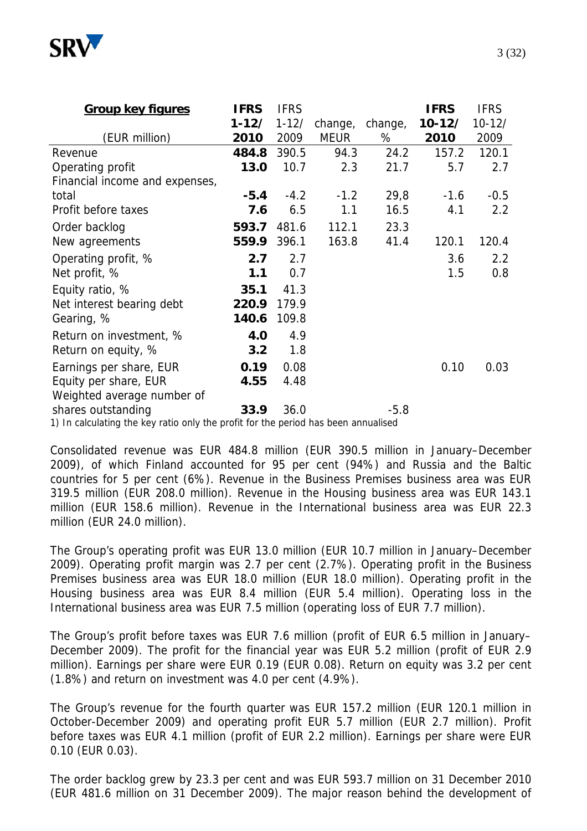

| $10 - 12/$<br>2009<br>120.1 |
|-----------------------------|
|                             |
|                             |
|                             |
| 2.7                         |
|                             |
| $-0.5$                      |
| 2.2                         |
|                             |
| 120.4                       |
| 2.2                         |
| 0.8                         |
|                             |
|                             |
|                             |
|                             |
|                             |
| 0.03                        |
|                             |
|                             |
|                             |
|                             |

1) In calculating the key ratio only the profit for the period has been annualised

Consolidated revenue was EUR 484.8 million (EUR 390.5 million in January–December 2009), of which Finland accounted for 95 per cent (94%) and Russia and the Baltic countries for 5 per cent (6%). Revenue in the Business Premises business area was EUR 319.5 million (EUR 208.0 million). Revenue in the Housing business area was EUR 143.1 million (EUR 158.6 million). Revenue in the International business area was EUR 22.3 million (EUR 24.0 million).

The Group's operating profit was EUR 13.0 million (EUR 10.7 million in January–December 2009). Operating profit margin was 2.7 per cent (2.7%). Operating profit in the Business Premises business area was EUR 18.0 million (EUR 18.0 million). Operating profit in the Housing business area was EUR 8.4 million (EUR 5.4 million). Operating loss in the International business area was EUR 7.5 million (operating loss of EUR 7.7 million).

The Group's profit before taxes was EUR 7.6 million (profit of EUR 6.5 million in January– December 2009). The profit for the financial year was EUR 5.2 million (profit of EUR 2.9 million). Earnings per share were EUR 0.19 (EUR 0.08). Return on equity was 3.2 per cent (1.8%) and return on investment was 4.0 per cent (4.9%).

The Group's revenue for the fourth quarter was EUR 157.2 million (EUR 120.1 million in October-December 2009) and operating profit EUR 5.7 million (EUR 2.7 million). Profit before taxes was EUR 4.1 million (profit of EUR 2.2 million). Earnings per share were EUR 0.10 (EUR 0.03).

The order backlog grew by 23.3 per cent and was EUR 593.7 million on 31 December 2010 (EUR 481.6 million on 31 December 2009). The major reason behind the development of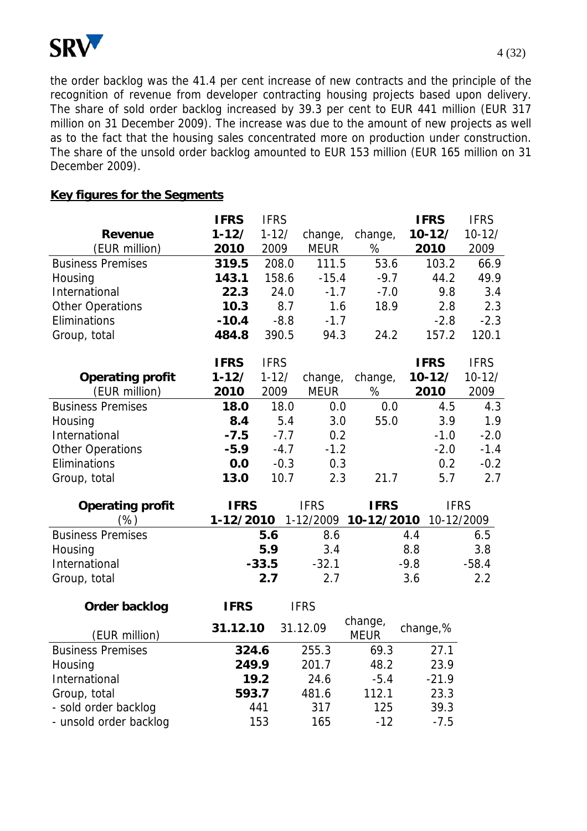

the order backlog was the 41.4 per cent increase of new contracts and the principle of the recognition of revenue from developer contracting housing projects based upon delivery. The share of sold order backlog increased by 39.3 per cent to EUR 441 million (EUR 317 million on 31 December 2009). The increase was due to the amount of new projects as well as to the fact that the housing sales concentrated more on production under construction. The share of the unsold order backlog amounted to EUR 153 million (EUR 165 million on 31 December 2009).

## **Key figures for the Segments**

|                          | <b>IFRS</b> | <b>IFRS</b> |             |                        | <b>IFRS</b> | <b>IFRS</b> |
|--------------------------|-------------|-------------|-------------|------------------------|-------------|-------------|
| <b>Revenue</b>           | $1 - 12/$   | $1 - 12/$   | change,     | change,                | $10 - 12/$  | $10 - 12/$  |
| (EUR million)            | 2010        | 2009        | <b>MEUR</b> | %                      | 2010        | 2009        |
| <b>Business Premises</b> | 319.5       | 208.0       | 111.5       | 53.6                   | 103.2       | 66.9        |
| Housing                  | 143.1       | 158.6       | $-15.4$     | $-9.7$                 | 44.2        | 49.9        |
| International            | 22.3        | 24.0        | $-1.7$      | $-7.0$                 | 9.8         | 3.4         |
| Other Operations         | 10.3        | 8.7         | 1.6         | 18.9                   | 2.8         | 2.3         |
| Eliminations             | $-10.4$     | $-8.8$      | $-1.7$      |                        | $-2.8$      | $-2.3$      |
| Group, total             | 484.8       | 390.5       | 94.3        | 24.2                   | 157.2       | 120.1       |
|                          | <b>IFRS</b> | <b>IFRS</b> |             |                        | <b>IFRS</b> | <b>IFRS</b> |
| <b>Operating profit</b>  | $1 - 12/$   | $1 - 12/$   | change,     | change,                | $10 - 12/$  | $10 - 12/$  |
| (EUR million)            | 2010        | 2009        | <b>MEUR</b> | $\%$                   | 2010        | 2009        |
| <b>Business Premises</b> | 18.0        | 18.0        | 0.0         | 0.0                    | 4.5         | 4.3         |
| Housing                  | 8.4         | 5.4         | 3.0         | 55.0                   | 3.9         | 1.9         |
| International            | $-7.5$      | $-7.7$      | 0.2         |                        | $-1.0$      | $-2.0$      |
| <b>Other Operations</b>  | $-5.9$      | $-4.7$      | $-1.2$      |                        | $-2.0$      | $-1.4$      |
| Eliminations             | 0.0         | $-0.3$      | 0.3         |                        | 0.2         | $-0.2$      |
| Group, total             | 13.0        | 10.7        | 2.3         | 21.7                   | 5.7         | 2.7         |
| <b>Operating profit</b>  | <b>IFRS</b> |             | <b>IFRS</b> | <b>IFRS</b>            |             | <b>IFRS</b> |
| (%)                      | 1-12/2010   |             | 1-12/2009   | 10-12/2010             |             | 10-12/2009  |
| <b>Business Premises</b> |             | 5.6         | 8.6         |                        | 4.4         | 6.5         |
| Housing                  |             | 5.9         | 3.4         |                        | 8.8         | 3.8         |
| International            |             | $-33.5$     | $-32.1$     |                        | $-9.8$      | $-58.4$     |
| Group, total             |             | 2.7         | 2.7         |                        | 3.6         | 2.2         |
| Order backlog            | <b>IFRS</b> |             | <b>IFRS</b> |                        |             |             |
| (EUR million)            | 31.12.10    |             | 31.12.09    | change,<br><b>MEUR</b> | change,%    |             |
| <b>Business Premises</b> | 324.6       |             | 255.3       | 69.3                   | 27.1        |             |
| Housing                  | 249.9       |             | 201.7       | 48.2                   | 23.9        |             |
| International            |             | 19.2        | 24.6        | $-5.4$                 | $-21.9$     |             |
| Group, total             | 593.7       |             | 481.6       | 112.1                  | 23.3        |             |
| - sold order backlog     |             | 441         | 317         | 125                    | 39.3        |             |

- unsold order backlog 153 165 -12 -7.5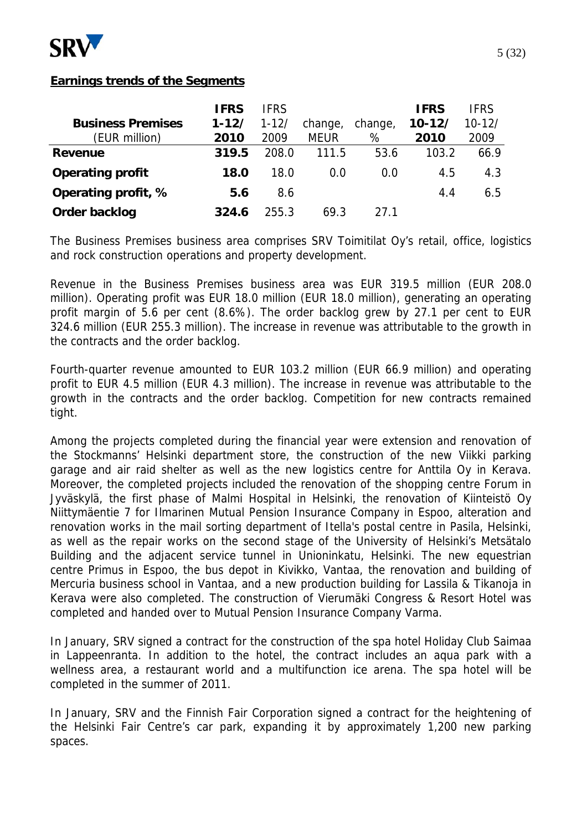

## **Earnings trends of the Segments**

|                          | <b>IFRS</b> | <b>IFRS</b> |             |         | <b>IFRS</b> | <b>IFRS</b> |
|--------------------------|-------------|-------------|-------------|---------|-------------|-------------|
| <b>Business Premises</b> | $1 - 12/$   | $1 - 12/$   | change,     | change, | $10 - 12/$  | $10 - 12/$  |
| (EUR million)            | 2010        | 2009        | <b>MEUR</b> | %       | 2010        | 2009        |
| Revenue                  | 319.5       | 208.0       | 111.5       | 53.6    | 103.2       | 66.9        |
| <b>Operating profit</b>  | 18.0        | 18.0        | 0.0         | 0.0     | 4.5         | 4.3         |
| Operating profit, %      | 5.6         | 8.6         |             |         | 4.4         | 6.5         |
| Order backlog            | 324.6       | 255.3       | 69.3        | 27 1    |             |             |

The Business Premises business area comprises SRV Toimitilat Oy's retail, office, logistics and rock construction operations and property development.

Revenue in the Business Premises business area was EUR 319.5 million (EUR 208.0 million). Operating profit was EUR 18.0 million (EUR 18.0 million), generating an operating profit margin of 5.6 per cent (8.6%). The order backlog grew by 27.1 per cent to EUR 324.6 million (EUR 255.3 million). The increase in revenue was attributable to the growth in the contracts and the order backlog.

Fourth-quarter revenue amounted to EUR 103.2 million (EUR 66.9 million) and operating profit to EUR 4.5 million (EUR 4.3 million). The increase in revenue was attributable to the growth in the contracts and the order backlog. Competition for new contracts remained tight.

Among the projects completed during the financial year were extension and renovation of the Stockmanns' Helsinki department store, the construction of the new Viikki parking garage and air raid shelter as well as the new logistics centre for Anttila Oy in Kerava. Moreover, the completed projects included the renovation of the shopping centre Forum in Jyväskylä, the first phase of Malmi Hospital in Helsinki, the renovation of Kiinteistö Oy Niittymäentie 7 for Ilmarinen Mutual Pension Insurance Company in Espoo, alteration and renovation works in the mail sorting department of Itella's postal centre in Pasila, Helsinki, as well as the repair works on the second stage of the University of Helsinki's Metsätalo Building and the adjacent service tunnel in Unioninkatu, Helsinki. The new equestrian centre Primus in Espoo, the bus depot in Kivikko, Vantaa, the renovation and building of Mercuria business school in Vantaa, and a new production building for Lassila & Tikanoja in Kerava were also completed. The construction of Vierumäki Congress & Resort Hotel was completed and handed over to Mutual Pension Insurance Company Varma.

In January, SRV signed a contract for the construction of the spa hotel Holiday Club Saimaa in Lappeenranta. In addition to the hotel, the contract includes an aqua park with a wellness area, a restaurant world and a multifunction ice arena. The spa hotel will be completed in the summer of 2011.

In January, SRV and the Finnish Fair Corporation signed a contract for the heightening of the Helsinki Fair Centre's car park, expanding it by approximately 1,200 new parking spaces.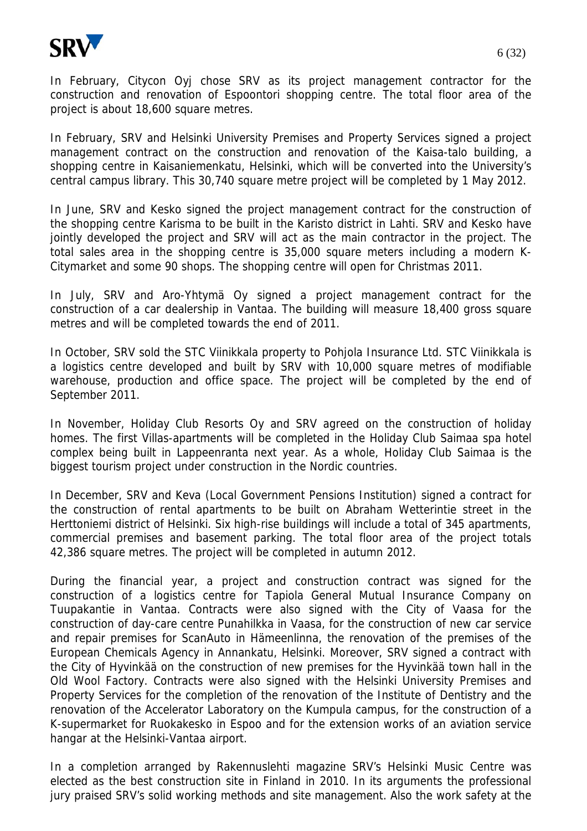

In February, Citycon Oyj chose SRV as its project management contractor for the construction and renovation of Espoontori shopping centre. The total floor area of the project is about 18,600 square metres.

In February, SRV and Helsinki University Premises and Property Services signed a project management contract on the construction and renovation of the Kaisa-talo building, a shopping centre in Kaisaniemenkatu, Helsinki, which will be converted into the University's central campus library. This 30,740 square metre project will be completed by 1 May 2012.

In June, SRV and Kesko signed the project management contract for the construction of the shopping centre Karisma to be built in the Karisto district in Lahti. SRV and Kesko have jointly developed the project and SRV will act as the main contractor in the project. The total sales area in the shopping centre is 35,000 square meters including a modern K-Citymarket and some 90 shops. The shopping centre will open for Christmas 2011.

In July, SRV and Aro-Yhtymä Oy signed a project management contract for the construction of a car dealership in Vantaa. The building will measure 18,400 gross square metres and will be completed towards the end of 2011.

In October, SRV sold the STC Viinikkala property to Pohjola Insurance Ltd. STC Viinikkala is a logistics centre developed and built by SRV with 10,000 square metres of modifiable warehouse, production and office space. The project will be completed by the end of September 2011.

In November, Holiday Club Resorts Oy and SRV agreed on the construction of holiday homes. The first Villas-apartments will be completed in the Holiday Club Saimaa spa hotel complex being built in Lappeenranta next year. As a whole, Holiday Club Saimaa is the biggest tourism project under construction in the Nordic countries.

In December, SRV and Keva (Local Government Pensions Institution) signed a contract for the construction of rental apartments to be built on Abraham Wetterintie street in the Herttoniemi district of Helsinki. Six high-rise buildings will include a total of 345 apartments, commercial premises and basement parking. The total floor area of the project totals 42,386 square metres. The project will be completed in autumn 2012.

During the financial year, a project and construction contract was signed for the construction of a logistics centre for Tapiola General Mutual Insurance Company on Tuupakantie in Vantaa. Contracts were also signed with the City of Vaasa for the construction of day-care centre Punahilkka in Vaasa, for the construction of new car service and repair premises for ScanAuto in Hämeenlinna, the renovation of the premises of the European Chemicals Agency in Annankatu, Helsinki. Moreover, SRV signed a contract with the City of Hyvinkää on the construction of new premises for the Hyvinkää town hall in the Old Wool Factory. Contracts were also signed with the Helsinki University Premises and Property Services for the completion of the renovation of the Institute of Dentistry and the renovation of the Accelerator Laboratory on the Kumpula campus, for the construction of a K-supermarket for Ruokakesko in Espoo and for the extension works of an aviation service hangar at the Helsinki-Vantaa airport.

In a completion arranged by Rakennuslehti magazine SRV's Helsinki Music Centre was elected as the best construction site in Finland in 2010. In its arguments the professional jury praised SRV's solid working methods and site management. Also the work safety at the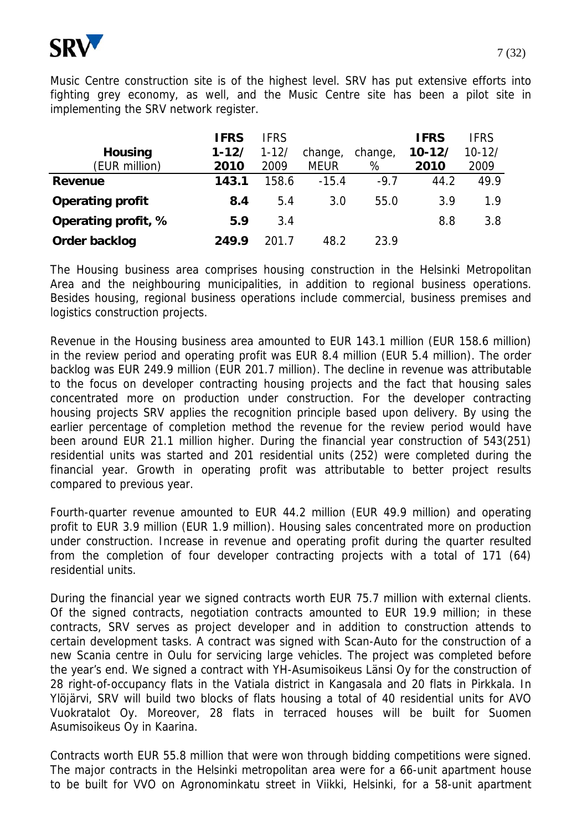

Music Centre construction site is of the highest level. SRV has put extensive efforts into fighting grey economy, as well, and the Music Centre site has been a pilot site in implementing the SRV network register.

| <b>Housing</b><br>(EUR million) | <b>IFRS</b><br>$1 - 12/$<br>2010 | <b>IFRS</b><br>$1 - 12/$<br>2009 | change,<br><b>MEUR</b> | change,<br>% | <b>IFRS</b><br>$10 - 12/$<br>2010 | <b>IFRS</b><br>$10 - 12/$<br>2009 |
|---------------------------------|----------------------------------|----------------------------------|------------------------|--------------|-----------------------------------|-----------------------------------|
| <b>Revenue</b>                  | 143.1                            | 158.6                            | $-15.4$                | $-9.7$       | 44.2                              | 49.9                              |
| <b>Operating profit</b>         | 8.4                              | 5.4                              | 3.0                    | 55.0         | 3.9                               | 1.9                               |
| Operating profit, %             | 5.9                              | 3.4                              |                        |              | 8.8                               | 3.8                               |
| Order backlog                   | 249.9                            | 201-7                            | 48.2                   | 23.9         |                                   |                                   |

The Housing business area comprises housing construction in the Helsinki Metropolitan Area and the neighbouring municipalities, in addition to regional business operations. Besides housing, regional business operations include commercial, business premises and logistics construction projects.

Revenue in the Housing business area amounted to EUR 143.1 million (EUR 158.6 million) in the review period and operating profit was EUR 8.4 million (EUR 5.4 million). The order backlog was EUR 249.9 million (EUR 201.7 million). The decline in revenue was attributable to the focus on developer contracting housing projects and the fact that housing sales concentrated more on production under construction. For the developer contracting housing projects SRV applies the recognition principle based upon delivery. By using the earlier percentage of completion method the revenue for the review period would have been around EUR 21.1 million higher. During the financial year construction of 543(251) residential units was started and 201 residential units (252) were completed during the financial year. Growth in operating profit was attributable to better project results compared to previous year.

Fourth-quarter revenue amounted to EUR 44.2 million (EUR 49.9 million) and operating profit to EUR 3.9 million (EUR 1.9 million). Housing sales concentrated more on production under construction. Increase in revenue and operating profit during the quarter resulted from the completion of four developer contracting projects with a total of 171 (64) residential units.

During the financial year we signed contracts worth EUR 75.7 million with external clients. Of the signed contracts, negotiation contracts amounted to EUR 19.9 million; in these contracts, SRV serves as project developer and in addition to construction attends to certain development tasks. A contract was signed with Scan-Auto for the construction of a new Scania centre in Oulu for servicing large vehicles. The project was completed before the year's end. We signed a contract with YH-Asumisoikeus Länsi Oy for the construction of 28 right-of-occupancy flats in the Vatiala district in Kangasala and 20 flats in Pirkkala. In Ylöjärvi, SRV will build two blocks of flats housing a total of 40 residential units for AVO Vuokratalot Oy. Moreover, 28 flats in terraced houses will be built for Suomen Asumisoikeus Oy in Kaarina.

Contracts worth EUR 55.8 million that were won through bidding competitions were signed. The major contracts in the Helsinki metropolitan area were for a 66-unit apartment house to be built for VVO on Agronominkatu street in Viikki, Helsinki, for a 58-unit apartment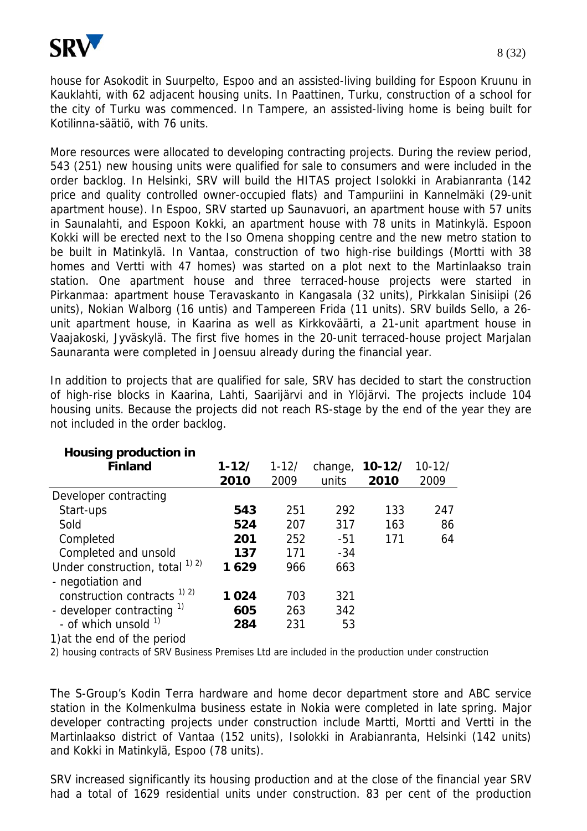

house for Asokodit in Suurpelto, Espoo and an assisted-living building for Espoon Kruunu in Kauklahti, with 62 adjacent housing units. In Paattinen, Turku, construction of a school for the city of Turku was commenced. In Tampere, an assisted-living home is being built for Kotilinna-säätiö, with 76 units.

More resources were allocated to developing contracting projects. During the review period, 543 (251) new housing units were qualified for sale to consumers and were included in the order backlog. In Helsinki, SRV will build the HITAS project Isolokki in Arabianranta (142 price and quality controlled owner-occupied flats) and Tampuriini in Kannelmäki (29-unit apartment house). In Espoo, SRV started up Saunavuori, an apartment house with 57 units in Saunalahti, and Espoon Kokki, an apartment house with 78 units in Matinkylä. Espoon Kokki will be erected next to the Iso Omena shopping centre and the new metro station to be built in Matinkylä. In Vantaa, construction of two high-rise buildings (Mortti with 38 homes and Vertti with 47 homes) was started on a plot next to the Martinlaakso train station. One apartment house and three terraced-house projects were started in Pirkanmaa: apartment house Teravaskanto in Kangasala (32 units), Pirkkalan Sinisiipi (26 units), Nokian Walborg (16 untis) and Tampereen Frida (11 units). SRV builds Sello, a 26 unit apartment house, in Kaarina as well as Kirkkoväärti, a 21-unit apartment house in Vaajakoski, Jyväskylä. The first five homes in the 20-unit terraced-house project Marjalan Saunaranta were completed in Joensuu already during the financial year.

In addition to projects that are qualified for sale, SRV has decided to start the construction of high-rise blocks in Kaarina, Lahti, Saarijärvi and in Ylöjärvi. The projects include 104 housing units. Because the projects did not reach RS-stage by the end of the year they are not included in the order backlog.

| <b>Housing production in</b>       |           |           |         |          |            |
|------------------------------------|-----------|-----------|---------|----------|------------|
| <b>Finland</b>                     | $1 - 12/$ | $1 - 12/$ | change, | $10-12/$ | $10 - 12/$ |
|                                    | 2010      | 2009      | units   | 2010     | 2009       |
| Developer contracting              |           |           |         |          |            |
| Start-ups                          | 543       | 251       | 292     | 133      | 247        |
| Sold                               | 524       | 207       | 317     | 163      | 86         |
| Completed                          | 201       | 252       | $-51$   | 171      | 64         |
| Completed and unsold               | 137       | 171       | $-34$   |          |            |
| Under construction, total $^{1/2}$ | 1629      | 966       | 663     |          |            |
| - negotiation and                  |           |           |         |          |            |
| construction contracts $^{1/2}$    | 1 024     | 703       | 321     |          |            |
| - developer contracting 1)         | 605       | 263       | 342     |          |            |
| - of which unsold 1)               | 284       | 231       | 53      |          |            |

1)at the end of the period

2) housing contracts of SRV Business Premises Ltd are included in the production under construction

The S-Group's Kodin Terra hardware and home decor department store and ABC service station in the Kolmenkulma business estate in Nokia were completed in late spring. Major developer contracting projects under construction include Martti, Mortti and Vertti in the Martinlaakso district of Vantaa (152 units), Isolokki in Arabianranta, Helsinki (142 units) and Kokki in Matinkylä, Espoo (78 units).

SRV increased significantly its housing production and at the close of the financial year SRV had a total of 1629 residential units under construction. 83 per cent of the production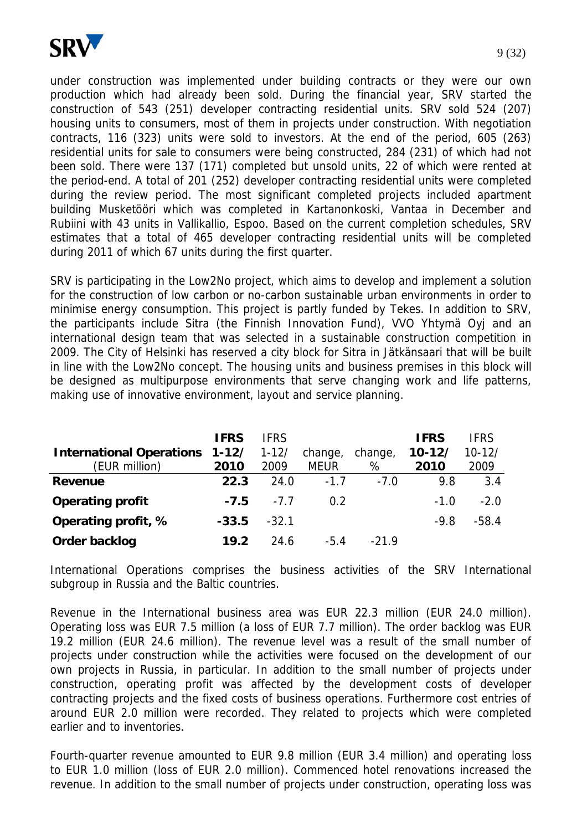

under construction was implemented under building contracts or they were our own production which had already been sold. During the financial year, SRV started the construction of 543 (251) developer contracting residential units. SRV sold 524 (207) housing units to consumers, most of them in projects under construction. With negotiation contracts, 116 (323) units were sold to investors. At the end of the period, 605 (263) residential units for sale to consumers were being constructed, 284 (231) of which had not been sold. There were 137 (171) completed but unsold units, 22 of which were rented at the period-end. A total of 201 (252) developer contracting residential units were completed during the review period. The most significant completed projects included apartment building Musketööri which was completed in Kartanonkoski, Vantaa in December and Rubiini with 43 units in Vallikallio, Espoo. Based on the current completion schedules, SRV

SRV is participating in the Low2No project, which aims to develop and implement a solution for the construction of low carbon or no-carbon sustainable urban environments in order to minimise energy consumption. This project is partly funded by Tekes. In addition to SRV, the participants include Sitra (the Finnish Innovation Fund), VVO Yhtymä Oyj and an international design team that was selected in a sustainable construction competition in 2009. The City of Helsinki has reserved a city block for Sitra in Jätkänsaari that will be built in line with the Low2No concept. The housing units and business premises in this block will be designed as multipurpose environments that serve changing work and life patterns, making use of innovative environment, layout and service planning.

estimates that a total of 465 developer contracting residential units will be completed

during 2011 of which 67 units during the first quarter.

|                                 | <b>IFRS</b> | <b>IFRS</b> |             |         | <b>IFRS</b> | <b>IFRS</b> |
|---------------------------------|-------------|-------------|-------------|---------|-------------|-------------|
| <b>International Operations</b> | $1 - 12/$   | $1 - 12/$   | change,     | change, | $10 - 12/$  | $10 - 12/$  |
| (EUR million)                   | 2010        | 2009        | <b>MEUR</b> | %       | 2010        | 2009        |
| Revenue                         | 22.3        | 24.0        | $-1.7$      | $-7.0$  | 9.8         | 3.4         |
| <b>Operating profit</b>         | $-7.5$      | $-7.7$      | 0.2         |         | $-1.0$      | $-2.0$      |
| Operating profit, %             | $-33.5$     | $-32.1$     |             |         | $-9.8$      | $-58.4$     |
| Order backlog                   | 19.2        | 24.6        | $-5.4$      | $-219$  |             |             |

International Operations comprises the business activities of the SRV International subgroup in Russia and the Baltic countries.

Revenue in the International business area was EUR 22.3 million (EUR 24.0 million). Operating loss was EUR 7.5 million (a loss of EUR 7.7 million). The order backlog was EUR 19.2 million (EUR 24.6 million). The revenue level was a result of the small number of projects under construction while the activities were focused on the development of our own projects in Russia, in particular. In addition to the small number of projects under construction, operating profit was affected by the development costs of developer contracting projects and the fixed costs of business operations. Furthermore cost entries of around EUR 2.0 million were recorded. They related to projects which were completed earlier and to inventories.

Fourth-quarter revenue amounted to EUR 9.8 million (EUR 3.4 million) and operating loss to EUR 1.0 million (loss of EUR 2.0 million). Commenced hotel renovations increased the revenue. In addition to the small number of projects under construction, operating loss was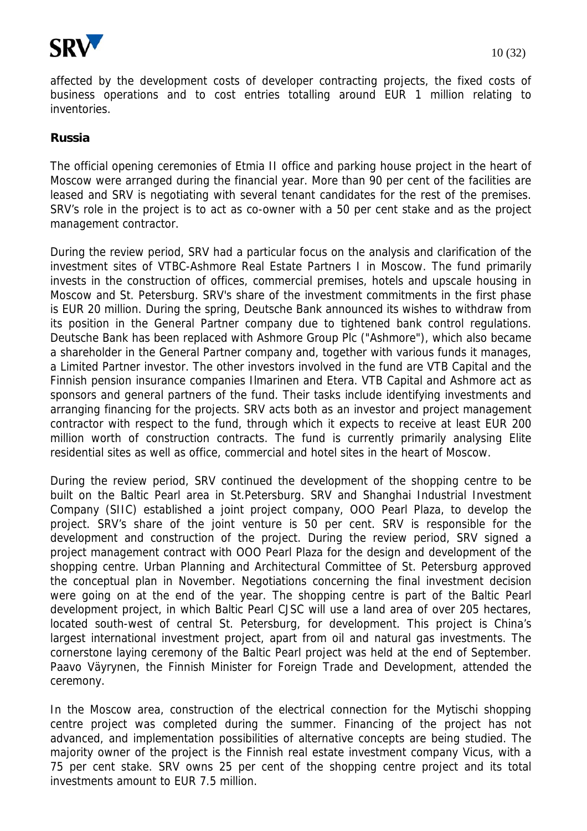

affected by the development costs of developer contracting projects, the fixed costs of business operations and to cost entries totalling around EUR 1 million relating to inventories.

## **Russia**

The official opening ceremonies of Etmia II office and parking house project in the heart of Moscow were arranged during the financial year. More than 90 per cent of the facilities are leased and SRV is negotiating with several tenant candidates for the rest of the premises. SRV's role in the project is to act as co-owner with a 50 per cent stake and as the project management contractor.

During the review period, SRV had a particular focus on the analysis and clarification of the investment sites of VTBC-Ashmore Real Estate Partners I in Moscow. The fund primarily invests in the construction of offices, commercial premises, hotels and upscale housing in Moscow and St. Petersburg. SRV's share of the investment commitments in the first phase is EUR 20 million. During the spring, Deutsche Bank announced its wishes to withdraw from its position in the General Partner company due to tightened bank control regulations. Deutsche Bank has been replaced with Ashmore Group Plc ("Ashmore"), which also became a shareholder in the General Partner company and, together with various funds it manages, a Limited Partner investor. The other investors involved in the fund are VTB Capital and the Finnish pension insurance companies Ilmarinen and Etera. VTB Capital and Ashmore act as sponsors and general partners of the fund. Their tasks include identifying investments and arranging financing for the projects. SRV acts both as an investor and project management contractor with respect to the fund, through which it expects to receive at least EUR 200 million worth of construction contracts. The fund is currently primarily analysing Elite residential sites as well as office, commercial and hotel sites in the heart of Moscow.

During the review period, SRV continued the development of the shopping centre to be built on the Baltic Pearl area in St.Petersburg. SRV and Shanghai Industrial Investment Company (SIIC) established a joint project company, OOO Pearl Plaza, to develop the project. SRV's share of the joint venture is 50 per cent. SRV is responsible for the development and construction of the project. During the review period, SRV signed a project management contract with OOO Pearl Plaza for the design and development of the shopping centre. Urban Planning and Architectural Committee of St. Petersburg approved the conceptual plan in November. Negotiations concerning the final investment decision were going on at the end of the year. The shopping centre is part of the Baltic Pearl development project, in which Baltic Pearl CJSC will use a land area of over 205 hectares, located south-west of central St. Petersburg, for development. This project is China's largest international investment project, apart from oil and natural gas investments. The cornerstone laying ceremony of the Baltic Pearl project was held at the end of September. Paavo Väyrynen, the Finnish Minister for Foreign Trade and Development, attended the ceremony.

In the Moscow area, construction of the electrical connection for the Mytischi shopping centre project was completed during the summer. Financing of the project has not advanced, and implementation possibilities of alternative concepts are being studied. The majority owner of the project is the Finnish real estate investment company Vicus, with a 75 per cent stake. SRV owns 25 per cent of the shopping centre project and its total investments amount to EUR 7.5 million.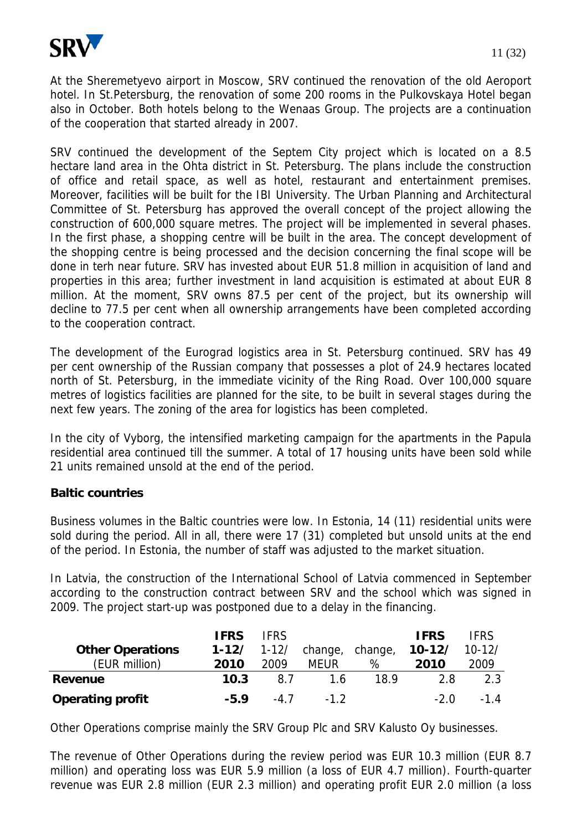

At the Sheremetyevo airport in Moscow, SRV continued the renovation of the old Aeroport hotel. In St.Petersburg, the renovation of some 200 rooms in the Pulkovskaya Hotel began also in October. Both hotels belong to the Wenaas Group. The projects are a continuation of the cooperation that started already in 2007.

SRV continued the development of the Septem City project which is located on a 8.5 hectare land area in the Ohta district in St. Petersburg. The plans include the construction of office and retail space, as well as hotel, restaurant and entertainment premises. Moreover, facilities will be built for the IBI University. The Urban Planning and Architectural Committee of St. Petersburg has approved the overall concept of the project allowing the construction of 600,000 square metres. The project will be implemented in several phases. In the first phase, a shopping centre will be built in the area. The concept development of the shopping centre is being processed and the decision concerning the final scope will be done in terh near future. SRV has invested about EUR 51.8 million in acquisition of land and properties in this area; further investment in land acquisition is estimated at about EUR 8 million. At the moment, SRV owns 87.5 per cent of the project, but its ownership will decline to 77.5 per cent when all ownership arrangements have been completed according to the cooperation contract.

The development of the Eurograd logistics area in St. Petersburg continued. SRV has 49 per cent ownership of the Russian company that possesses a plot of 24.9 hectares located north of St. Petersburg, in the immediate vicinity of the Ring Road. Over 100,000 square metres of logistics facilities are planned for the site, to be built in several stages during the next few years. The zoning of the area for logistics has been completed.

In the city of Vyborg, the intensified marketing campaign for the apartments in the Papula residential area continued till the summer. A total of 17 housing units have been sold while 21 units remained unsold at the end of the period.

## **Baltic countries**

Business volumes in the Baltic countries were low. In Estonia, 14 (11) residential units were sold during the period. All in all, there were 17 (31) completed but unsold units at the end of the period. In Estonia, the number of staff was adjusted to the market situation.

In Latvia, the construction of the International School of Latvia commenced in September according to the construction contract between SRV and the school which was signed in 2009. The project start-up was postponed due to a delay in the financing.

|                         | <b>IFRS</b>   | <b>IFRS</b> |                 |      | <b>IFRS</b> | <b>IFRS</b> |
|-------------------------|---------------|-------------|-----------------|------|-------------|-------------|
| <b>Other Operations</b> | $1-12/$ 1-12/ |             | change, change, |      | $10 - 12/$  | $10-12/$    |
| (EUR million)           | 2010          | 2009        | <b>MEUR</b>     | %    | 2010        | 2009        |
| Revenue                 | 10.3          | 8.7         | 1.6             | 18.9 | 2.8         | 2.3         |
| <b>Operating profit</b> | $-5.9$        | -47         | $-1.2$          |      | $-20$       | $-14$       |

Other Operations comprise mainly the SRV Group Plc and SRV Kalusto Oy businesses.

The revenue of Other Operations during the review period was EUR 10.3 million (EUR 8.7 million) and operating loss was EUR 5.9 million (a loss of EUR 4.7 million). Fourth-quarter revenue was EUR 2.8 million (EUR 2.3 million) and operating profit EUR 2.0 million (a loss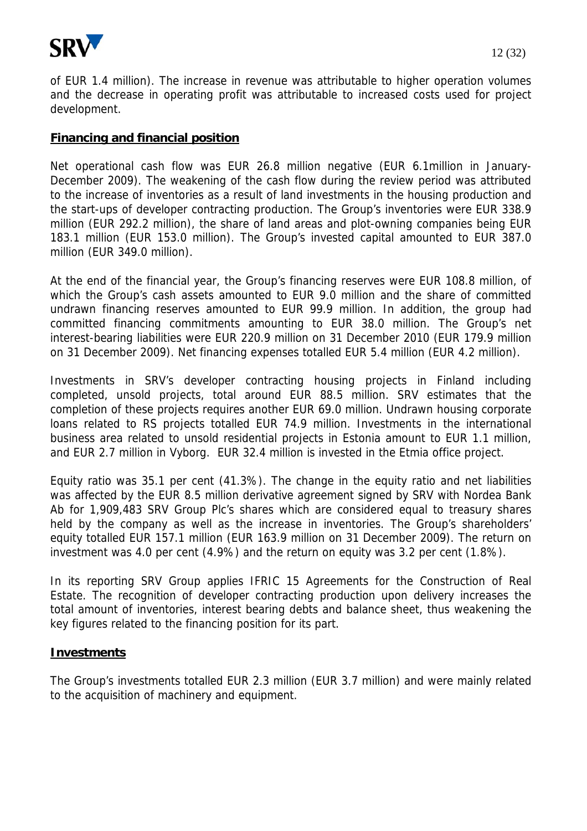

of EUR 1.4 million). The increase in revenue was attributable to higher operation volumes and the decrease in operating profit was attributable to increased costs used for project development.

## **Financing and financial position**

Net operational cash flow was EUR 26.8 million negative (EUR 6.1million in January-December 2009). The weakening of the cash flow during the review period was attributed to the increase of inventories as a result of land investments in the housing production and the start-ups of developer contracting production. The Group's inventories were EUR 338.9 million (EUR 292.2 million), the share of land areas and plot-owning companies being EUR 183.1 million (EUR 153.0 million). The Group's invested capital amounted to EUR 387.0 million (EUR 349.0 million).

At the end of the financial year, the Group's financing reserves were EUR 108.8 million, of which the Group's cash assets amounted to EUR 9.0 million and the share of committed undrawn financing reserves amounted to EUR 99.9 million. In addition, the group had committed financing commitments amounting to EUR 38.0 million. The Group's net interest-bearing liabilities were EUR 220.9 million on 31 December 2010 (EUR 179.9 million on 31 December 2009). Net financing expenses totalled EUR 5.4 million (EUR 4.2 million).

Investments in SRV's developer contracting housing projects in Finland including completed, unsold projects, total around EUR 88.5 million. SRV estimates that the completion of these projects requires another EUR 69.0 million. Undrawn housing corporate loans related to RS projects totalled EUR 74.9 million. Investments in the international business area related to unsold residential projects in Estonia amount to EUR 1.1 million, and EUR 2.7 million in Vyborg. EUR 32.4 million is invested in the Etmia office project.

Equity ratio was 35.1 per cent (41.3%). The change in the equity ratio and net liabilities was affected by the EUR 8.5 million derivative agreement signed by SRV with Nordea Bank Ab for 1,909,483 SRV Group Plc's shares which are considered equal to treasury shares held by the company as well as the increase in inventories. The Group's shareholders' equity totalled EUR 157.1 million (EUR 163.9 million on 31 December 2009). The return on investment was 4.0 per cent (4.9%) and the return on equity was 3.2 per cent (1.8%).

In its reporting SRV Group applies IFRIC 15 Agreements for the Construction of Real Estate. The recognition of developer contracting production upon delivery increases the total amount of inventories, interest bearing debts and balance sheet, thus weakening the key figures related to the financing position for its part.

## **Investments**

The Group's investments totalled EUR 2.3 million (EUR 3.7 million) and were mainly related to the acquisition of machinery and equipment.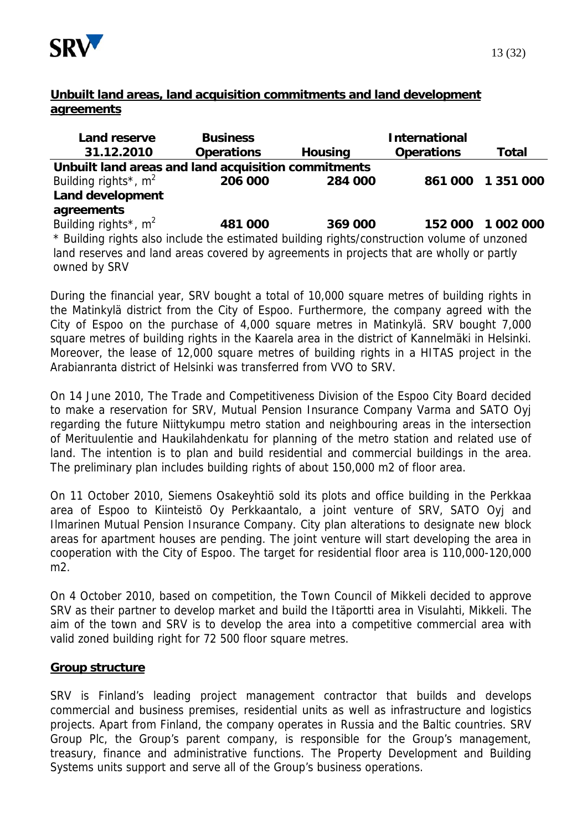

## **Unbuilt land areas, land acquisition commitments and land development agreements**

| Land reserve                                                                                | <b>Business</b>   |                | <b>International</b> |                   |  |
|---------------------------------------------------------------------------------------------|-------------------|----------------|----------------------|-------------------|--|
| 31.12.2010                                                                                  | <b>Operations</b> | <b>Housing</b> | <b>Operations</b>    | <b>Total</b>      |  |
| Unbuilt land areas and land acquisition commitments                                         |                   |                |                      |                   |  |
| Building rights <sup>*</sup> , $m^2$                                                        | 206 000           | 284 000        |                      | 861 000 1 351 000 |  |
| <b>Land development</b>                                                                     |                   |                |                      |                   |  |
| agreements                                                                                  |                   |                |                      |                   |  |
| Building rights <sup>*</sup> , $m^2$                                                        | 481 000           | 369 000        |                      | 152 000 1 002 000 |  |
| * Building rights also include the estimated building rights/construction volume of unzoned |                   |                |                      |                   |  |
| land reserves and land areas covered by agreements in projects that are wholly or partly    |                   |                |                      |                   |  |
| owned by SRV                                                                                |                   |                |                      |                   |  |

During the financial year, SRV bought a total of 10,000 square metres of building rights in the Matinkylä district from the City of Espoo. Furthermore, the company agreed with the City of Espoo on the purchase of 4,000 square metres in Matinkylä. SRV bought 7,000 square metres of building rights in the Kaarela area in the district of Kannelmäki in Helsinki. Moreover, the lease of 12,000 square metres of building rights in a HITAS project in the Arabianranta district of Helsinki was transferred from VVO to SRV.

On 14 June 2010, The Trade and Competitiveness Division of the Espoo City Board decided to make a reservation for SRV, Mutual Pension Insurance Company Varma and SATO Oyj regarding the future Niittykumpu metro station and neighbouring areas in the intersection of Merituulentie and Haukilahdenkatu for planning of the metro station and related use of land. The intention is to plan and build residential and commercial buildings in the area. The preliminary plan includes building rights of about 150,000 m2 of floor area.

On 11 October 2010, Siemens Osakeyhtiö sold its plots and office building in the Perkkaa area of Espoo to Kiinteistö Oy Perkkaantalo, a joint venture of SRV, SATO Oyj and Ilmarinen Mutual Pension Insurance Company. City plan alterations to designate new block areas for apartment houses are pending. The joint venture will start developing the area in cooperation with the City of Espoo. The target for residential floor area is 110,000-120,000 m2.

On 4 October 2010, based on competition, the Town Council of Mikkeli decided to approve SRV as their partner to develop market and build the Itäportti area in Visulahti, Mikkeli. The aim of the town and SRV is to develop the area into a competitive commercial area with valid zoned building right for 72 500 floor square metres.

## **Group structure**

SRV is Finland's leading project management contractor that builds and develops commercial and business premises, residential units as well as infrastructure and logistics projects. Apart from Finland, the company operates in Russia and the Baltic countries. SRV Group Plc, the Group's parent company, is responsible for the Group's management, treasury, finance and administrative functions. The Property Development and Building Systems units support and serve all of the Group's business operations.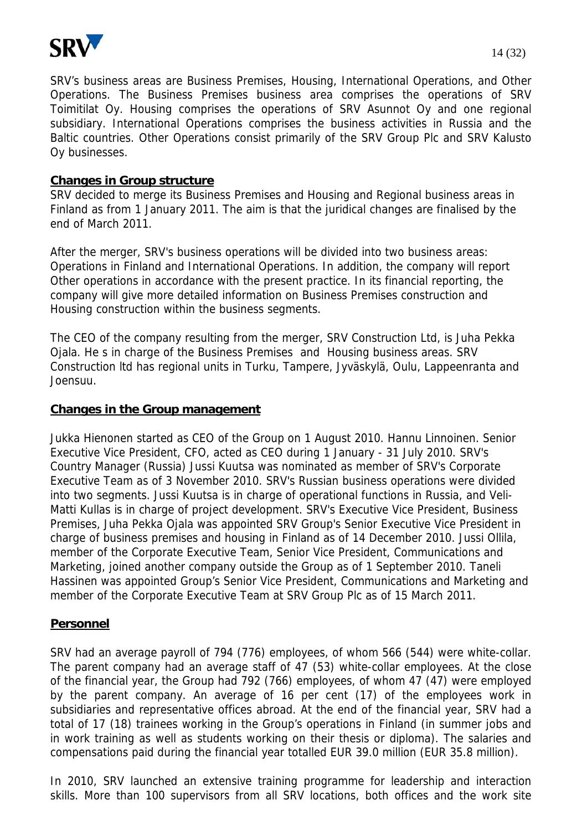

SRV's business areas are Business Premises, Housing, International Operations, and Other Operations. The Business Premises business area comprises the operations of SRV Toimitilat Oy. Housing comprises the operations of SRV Asunnot Oy and one regional subsidiary. International Operations comprises the business activities in Russia and the Baltic countries. Other Operations consist primarily of the SRV Group Plc and SRV Kalusto Oy businesses.

## **Changes in Group structure**

SRV decided to merge its Business Premises and Housing and Regional business areas in Finland as from 1 January 2011. The aim is that the juridical changes are finalised by the end of March 2011.

After the merger, SRV's business operations will be divided into two business areas: Operations in Finland and International Operations. In addition, the company will report Other operations in accordance with the present practice. In its financial reporting, the company will give more detailed information on Business Premises construction and Housing construction within the business segments.

The CEO of the company resulting from the merger, SRV Construction Ltd, is Juha Pekka Ojala. He s in charge of the Business Premises and Housing business areas. SRV Construction ltd has regional units in Turku, Tampere, Jyväskylä, Oulu, Lappeenranta and Joensuu.

### **Changes in the Group management**

Jukka Hienonen started as CEO of the Group on 1 August 2010. Hannu Linnoinen. Senior Executive Vice President, CFO, acted as CEO during 1 January - 31 July 2010. SRV's Country Manager (Russia) Jussi Kuutsa was nominated as member of SRV's Corporate Executive Team as of 3 November 2010. SRV's Russian business operations were divided into two segments. Jussi Kuutsa is in charge of operational functions in Russia, and Veli-Matti Kullas is in charge of project development. SRV's Executive Vice President, Business Premises, Juha Pekka Ojala was appointed SRV Group's Senior Executive Vice President in charge of business premises and housing in Finland as of 14 December 2010. Jussi Ollila, member of the Corporate Executive Team, Senior Vice President, Communications and Marketing, joined another company outside the Group as of 1 September 2010. Taneli Hassinen was appointed Group's Senior Vice President, Communications and Marketing and member of the Corporate Executive Team at SRV Group Plc as of 15 March 2011.

#### **Personnel**

SRV had an average payroll of 794 (776) employees, of whom 566 (544) were white-collar. The parent company had an average staff of 47 (53) white-collar employees. At the close of the financial year, the Group had 792 (766) employees, of whom 47 (47) were employed by the parent company. An average of 16 per cent (17) of the employees work in subsidiaries and representative offices abroad. At the end of the financial year, SRV had a total of 17 (18) trainees working in the Group's operations in Finland (in summer jobs and in work training as well as students working on their thesis or diploma). The salaries and compensations paid during the financial year totalled EUR 39.0 million (EUR 35.8 million).

In 2010, SRV launched an extensive training programme for leadership and interaction skills. More than 100 supervisors from all SRV locations, both offices and the work site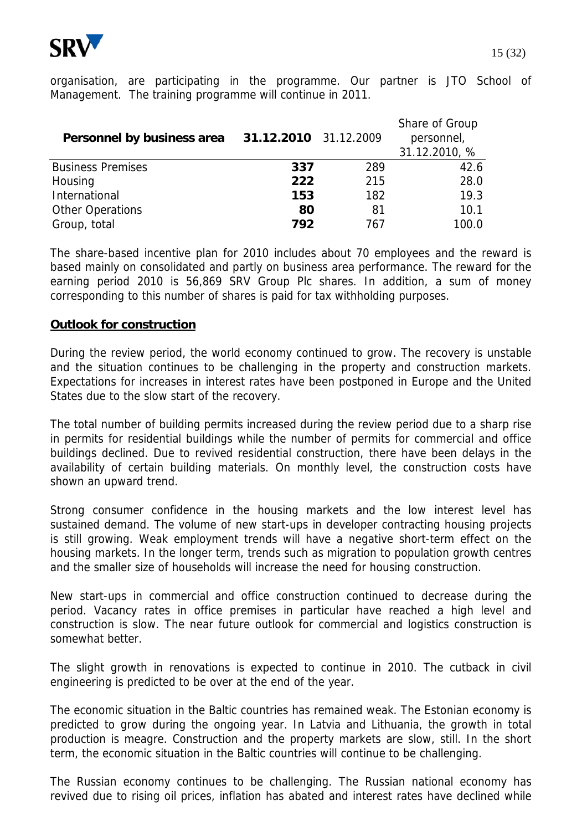

organisation, are participating in the programme. Our partner is JTO School of Management. The training programme will continue in 2011.

| Personnel by business area | 31.12.2010 31.12.2009 |     | Share of Group<br>personnel,<br>31.12.2010, % |
|----------------------------|-----------------------|-----|-----------------------------------------------|
| <b>Business Premises</b>   | 337                   | 289 | 42.6                                          |
| Housing                    | 222                   | 215 | 28.0                                          |
| International              | 153                   | 182 | 19.3                                          |
| <b>Other Operations</b>    | 80                    | 81  | 10.1                                          |
| Group, total               | 792                   | 767 | 100.0                                         |

The share-based incentive plan for 2010 includes about 70 employees and the reward is based mainly on consolidated and partly on business area performance. The reward for the earning period 2010 is 56,869 SRV Group Plc shares. In addition, a sum of money corresponding to this number of shares is paid for tax withholding purposes.

## **Outlook for construction**

During the review period, the world economy continued to grow. The recovery is unstable and the situation continues to be challenging in the property and construction markets. Expectations for increases in interest rates have been postponed in Europe and the United States due to the slow start of the recovery.

The total number of building permits increased during the review period due to a sharp rise in permits for residential buildings while the number of permits for commercial and office buildings declined. Due to revived residential construction, there have been delays in the availability of certain building materials. On monthly level, the construction costs have shown an upward trend.

Strong consumer confidence in the housing markets and the low interest level has sustained demand. The volume of new start-ups in developer contracting housing projects is still growing. Weak employment trends will have a negative short-term effect on the housing markets. In the longer term, trends such as migration to population growth centres and the smaller size of households will increase the need for housing construction.

New start-ups in commercial and office construction continued to decrease during the period. Vacancy rates in office premises in particular have reached a high level and construction is slow. The near future outlook for commercial and logistics construction is somewhat better.

The slight growth in renovations is expected to continue in 2010. The cutback in civil engineering is predicted to be over at the end of the year.

The economic situation in the Baltic countries has remained weak. The Estonian economy is predicted to grow during the ongoing year. In Latvia and Lithuania, the growth in total production is meagre. Construction and the property markets are slow, still. In the short term, the economic situation in the Baltic countries will continue to be challenging.

The Russian economy continues to be challenging. The Russian national economy has revived due to rising oil prices, inflation has abated and interest rates have declined while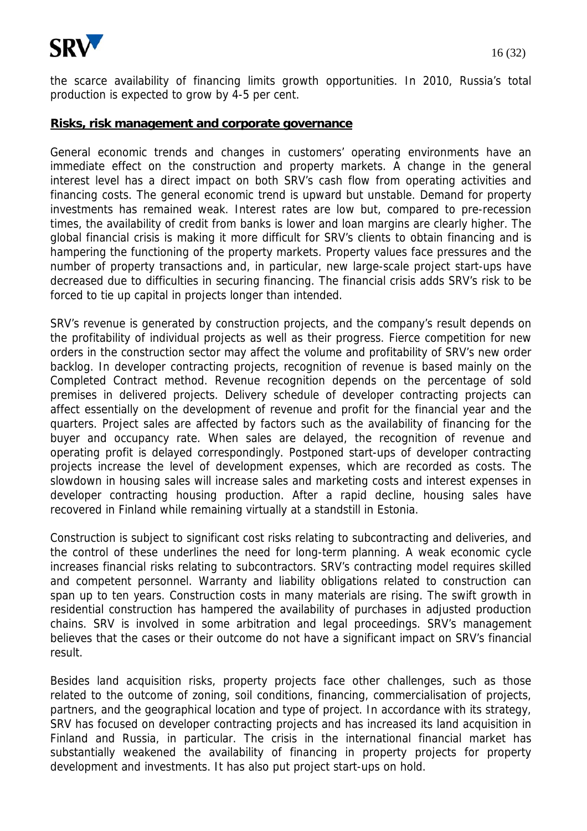

### **Risks, risk management and corporate governance**

General economic trends and changes in customers' operating environments have an immediate effect on the construction and property markets. A change in the general interest level has a direct impact on both SRV's cash flow from operating activities and financing costs. The general economic trend is upward but unstable. Demand for property investments has remained weak. Interest rates are low but, compared to pre-recession times, the availability of credit from banks is lower and loan margins are clearly higher. The global financial crisis is making it more difficult for SRV's clients to obtain financing and is hampering the functioning of the property markets. Property values face pressures and the number of property transactions and, in particular, new large-scale project start-ups have decreased due to difficulties in securing financing. The financial crisis adds SRV's risk to be forced to tie up capital in projects longer than intended.

SRV's revenue is generated by construction projects, and the company's result depends on the profitability of individual projects as well as their progress. Fierce competition for new orders in the construction sector may affect the volume and profitability of SRV's new order backlog. In developer contracting projects, recognition of revenue is based mainly on the Completed Contract method. Revenue recognition depends on the percentage of sold premises in delivered projects. Delivery schedule of developer contracting projects can affect essentially on the development of revenue and profit for the financial year and the quarters. Project sales are affected by factors such as the availability of financing for the buyer and occupancy rate. When sales are delayed, the recognition of revenue and operating profit is delayed correspondingly. Postponed start-ups of developer contracting projects increase the level of development expenses, which are recorded as costs. The slowdown in housing sales will increase sales and marketing costs and interest expenses in developer contracting housing production. After a rapid decline, housing sales have recovered in Finland while remaining virtually at a standstill in Estonia.

Construction is subject to significant cost risks relating to subcontracting and deliveries, and the control of these underlines the need for long-term planning. A weak economic cycle increases financial risks relating to subcontractors. SRV's contracting model requires skilled and competent personnel. Warranty and liability obligations related to construction can span up to ten years. Construction costs in many materials are rising. The swift growth in residential construction has hampered the availability of purchases in adjusted production chains. SRV is involved in some arbitration and legal proceedings. SRV's management believes that the cases or their outcome do not have a significant impact on SRV's financial result.

Besides land acquisition risks, property projects face other challenges, such as those related to the outcome of zoning, soil conditions, financing, commercialisation of projects, partners, and the geographical location and type of project. In accordance with its strategy, SRV has focused on developer contracting projects and has increased its land acquisition in Finland and Russia, in particular. The crisis in the international financial market has substantially weakened the availability of financing in property projects for property development and investments. It has also put project start-ups on hold.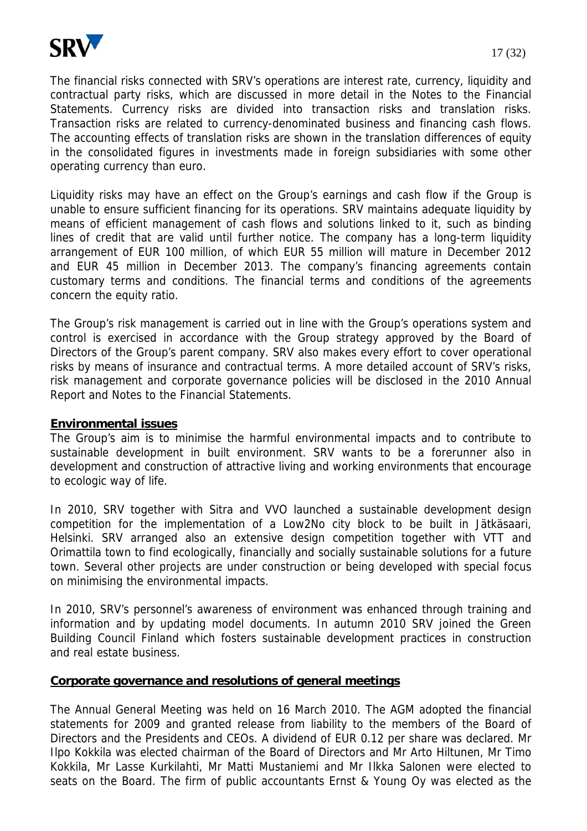

The financial risks connected with SRV's operations are interest rate, currency, liquidity and contractual party risks, which are discussed in more detail in the Notes to the Financial Statements. Currency risks are divided into transaction risks and translation risks. Transaction risks are related to currency-denominated business and financing cash flows. The accounting effects of translation risks are shown in the translation differences of equity in the consolidated figures in investments made in foreign subsidiaries with some other operating currency than euro.

Liquidity risks may have an effect on the Group's earnings and cash flow if the Group is unable to ensure sufficient financing for its operations. SRV maintains adequate liquidity by means of efficient management of cash flows and solutions linked to it, such as binding lines of credit that are valid until further notice. The company has a long-term liquidity arrangement of EUR 100 million, of which EUR 55 million will mature in December 2012 and EUR 45 million in December 2013. The company's financing agreements contain customary terms and conditions. The financial terms and conditions of the agreements concern the equity ratio.

The Group's risk management is carried out in line with the Group's operations system and control is exercised in accordance with the Group strategy approved by the Board of Directors of the Group's parent company. SRV also makes every effort to cover operational risks by means of insurance and contractual terms. A more detailed account of SRV's risks, risk management and corporate governance policies will be disclosed in the 2010 Annual Report and Notes to the Financial Statements.

## **Environmental issues**

The Group's aim is to minimise the harmful environmental impacts and to contribute to sustainable development in built environment. SRV wants to be a forerunner also in development and construction of attractive living and working environments that encourage to ecologic way of life.

In 2010, SRV together with Sitra and VVO launched a sustainable development design competition for the implementation of a Low2No city block to be built in Jätkäsaari, Helsinki. SRV arranged also an extensive design competition together with VTT and Orimattila town to find ecologically, financially and socially sustainable solutions for a future town. Several other projects are under construction or being developed with special focus on minimising the environmental impacts.

In 2010, SRV's personnel's awareness of environment was enhanced through training and information and by updating model documents. In autumn 2010 SRV joined the Green Building Council Finland which fosters sustainable development practices in construction and real estate business.

#### **Corporate governance and resolutions of general meetings**

The Annual General Meeting was held on 16 March 2010. The AGM adopted the financial statements for 2009 and granted release from liability to the members of the Board of Directors and the Presidents and CEOs. A dividend of EUR 0.12 per share was declared. Mr Ilpo Kokkila was elected chairman of the Board of Directors and Mr Arto Hiltunen, Mr Timo Kokkila, Mr Lasse Kurkilahti, Mr Matti Mustaniemi and Mr Ilkka Salonen were elected to seats on the Board. The firm of public accountants Ernst & Young Oy was elected as the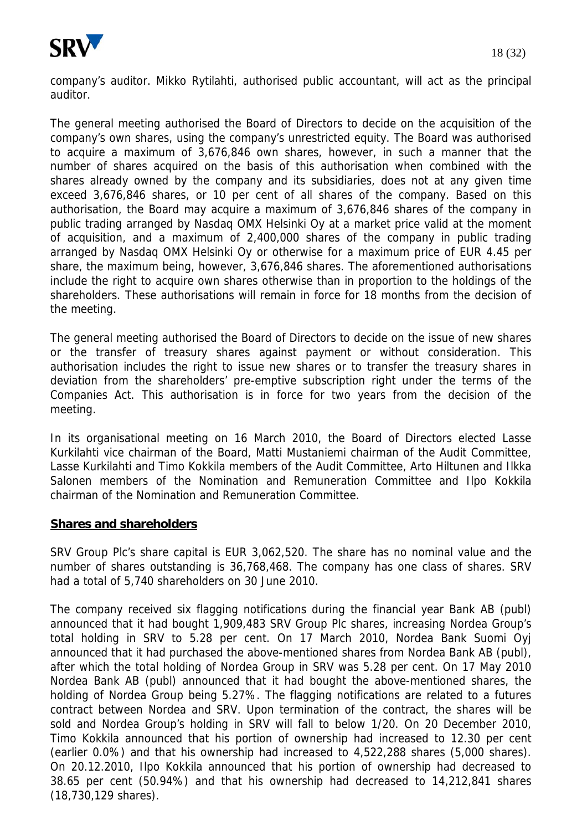

company's auditor. Mikko Rytilahti, authorised public accountant, will act as the principal auditor.

The general meeting authorised the Board of Directors to decide on the acquisition of the company's own shares, using the company's unrestricted equity. The Board was authorised to acquire a maximum of 3,676,846 own shares, however, in such a manner that the number of shares acquired on the basis of this authorisation when combined with the shares already owned by the company and its subsidiaries, does not at any given time exceed 3,676,846 shares, or 10 per cent of all shares of the company. Based on this authorisation, the Board may acquire a maximum of 3,676,846 shares of the company in public trading arranged by Nasdaq OMX Helsinki Oy at a market price valid at the moment of acquisition, and a maximum of 2,400,000 shares of the company in public trading arranged by Nasdaq OMX Helsinki Oy or otherwise for a maximum price of EUR 4.45 per share, the maximum being, however, 3,676,846 shares. The aforementioned authorisations include the right to acquire own shares otherwise than in proportion to the holdings of the shareholders. These authorisations will remain in force for 18 months from the decision of the meeting.

The general meeting authorised the Board of Directors to decide on the issue of new shares or the transfer of treasury shares against payment or without consideration. This authorisation includes the right to issue new shares or to transfer the treasury shares in deviation from the shareholders' pre-emptive subscription right under the terms of the Companies Act. This authorisation is in force for two years from the decision of the meeting.

In its organisational meeting on 16 March 2010, the Board of Directors elected Lasse Kurkilahti vice chairman of the Board, Matti Mustaniemi chairman of the Audit Committee, Lasse Kurkilahti and Timo Kokkila members of the Audit Committee, Arto Hiltunen and Ilkka Salonen members of the Nomination and Remuneration Committee and Ilpo Kokkila chairman of the Nomination and Remuneration Committee.

#### **Shares and shareholders**

SRV Group Plc's share capital is EUR 3,062,520. The share has no nominal value and the number of shares outstanding is 36,768,468. The company has one class of shares. SRV had a total of 5,740 shareholders on 30 June 2010.

The company received six flagging notifications during the financial year Bank AB (publ) announced that it had bought 1,909,483 SRV Group Plc shares, increasing Nordea Group's total holding in SRV to 5.28 per cent. On 17 March 2010, Nordea Bank Suomi Oyj announced that it had purchased the above-mentioned shares from Nordea Bank AB (publ), after which the total holding of Nordea Group in SRV was 5.28 per cent. On 17 May 2010 Nordea Bank AB (publ) announced that it had bought the above-mentioned shares, the holding of Nordea Group being 5.27%. The flagging notifications are related to a futures contract between Nordea and SRV. Upon termination of the contract, the shares will be sold and Nordea Group's holding in SRV will fall to below 1/20. On 20 December 2010, Timo Kokkila announced that his portion of ownership had increased to 12.30 per cent (earlier 0.0%) and that his ownership had increased to 4,522,288 shares (5,000 shares). On 20.12.2010, Ilpo Kokkila announced that his portion of ownership had decreased to 38.65 per cent (50.94%) and that his ownership had decreased to 14,212,841 shares (18,730,129 shares).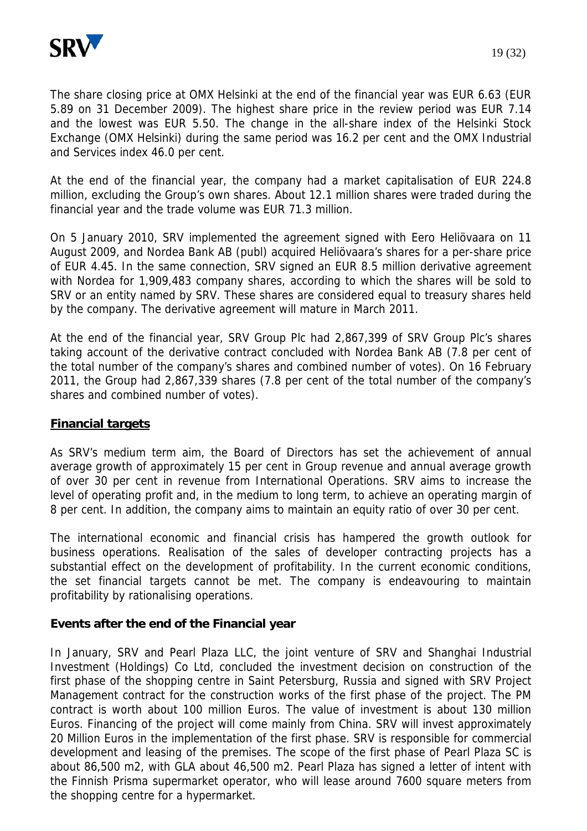

The share closing price at OMX Helsinki at the end of the financial year was EUR 6.63 (EUR 5.89 on 31 December 2009). The highest share price in the review period was EUR 7.14 and the lowest was EUR 5.50. The change in the all-share index of the Helsinki Stock Exchange (OMX Helsinki) during the same period was 16.2 per cent and the OMX Industrial and Services index 46.0 per cent.

At the end of the financial year, the company had a market capitalisation of EUR 224.8 million, excluding the Group's own shares. About 12.1 million shares were traded during the financial year and the trade volume was EUR 71.3 million.

On 5 January 2010, SRV implemented the agreement signed with Eero Heliövaara on 11 August 2009, and Nordea Bank AB (publ) acquired Heliövaara's shares for a per-share price of EUR 4.45. In the same connection, SRV signed an EUR 8.5 million derivative agreement with Nordea for 1,909,483 company shares, according to which the shares will be sold to SRV or an entity named by SRV. These shares are considered equal to treasury shares held by the company. The derivative agreement will mature in March 2011.

At the end of the financial year, SRV Group Plc had 2,867,399 of SRV Group Plc's shares taking account of the derivative contract concluded with Nordea Bank AB (7.8 per cent of the total number of the company's shares and combined number of votes). On 16 February 2011, the Group had 2,867,339 shares (7.8 per cent of the total number of the company's shares and combined number of votes).

## **Financial targets**

As SRV's medium term aim, the Board of Directors has set the achievement of annual average growth of approximately 15 per cent in Group revenue and annual average growth of over 30 per cent in revenue from International Operations. SRV aims to increase the level of operating profit and, in the medium to long term, to achieve an operating margin of 8 per cent. In addition, the company aims to maintain an equity ratio of over 30 per cent.

The international economic and financial crisis has hampered the growth outlook for business operations. Realisation of the sales of developer contracting projects has a substantial effect on the development of profitability. In the current economic conditions, the set financial targets cannot be met. The company is endeavouring to maintain profitability by rationalising operations.

## **Events after the end of the Financial year**

In January, SRV and Pearl Plaza LLC, the joint venture of SRV and Shanghai Industrial Investment (Holdings) Co Ltd, concluded the investment decision on construction of the first phase of the shopping centre in Saint Petersburg, Russia and signed with SRV Project Management contract for the construction works of the first phase of the project. The PM contract is worth about 100 million Euros. The value of investment is about 130 million Euros. Financing of the project will come mainly from China. SRV will invest approximately 20 Million Euros in the implementation of the first phase. SRV is responsible for commercial development and leasing of the premises. The scope of the first phase of Pearl Plaza SC is about 86,500 m2, with GLA about 46,500 m2. Pearl Plaza has signed a letter of intent with the Finnish Prisma supermarket operator, who will lease around 7600 square meters from the shopping centre for a hypermarket.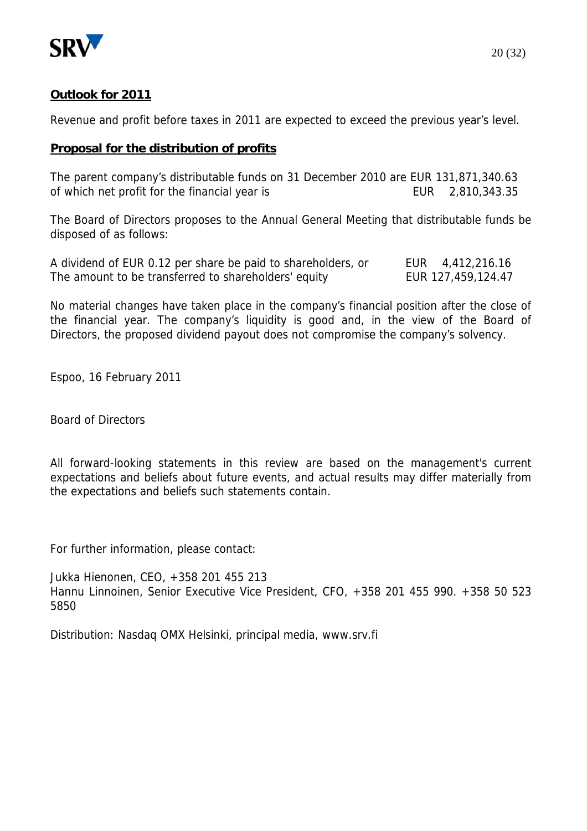

## **Outlook for 2011**

Revenue and profit before taxes in 2011 are expected to exceed the previous year's level.

## **Proposal for the distribution of profits**

The parent company's distributable funds on 31 December 2010 are EUR 131,871,340.63 of which net profit for the financial year is EUR 2,810,343.35

The Board of Directors proposes to the Annual General Meeting that distributable funds be disposed of as follows:

| A dividend of EUR 0.12 per share be paid to shareholders, or | EUR 4,412,216.16   |
|--------------------------------------------------------------|--------------------|
| The amount to be transferred to shareholders' equity         | EUR 127,459,124.47 |

No material changes have taken place in the company's financial position after the close of the financial year. The company's liquidity is good and, in the view of the Board of Directors, the proposed dividend payout does not compromise the company's solvency.

Espoo, 16 February 2011

Board of Directors

All forward-looking statements in this review are based on the management's current expectations and beliefs about future events, and actual results may differ materially from the expectations and beliefs such statements contain.

For further information, please contact:

Jukka Hienonen, CEO, +358 201 455 213 Hannu Linnoinen, Senior Executive Vice President, CFO, +358 201 455 990. +358 50 523 5850

Distribution: Nasdaq OMX Helsinki, principal media, www.srv.fi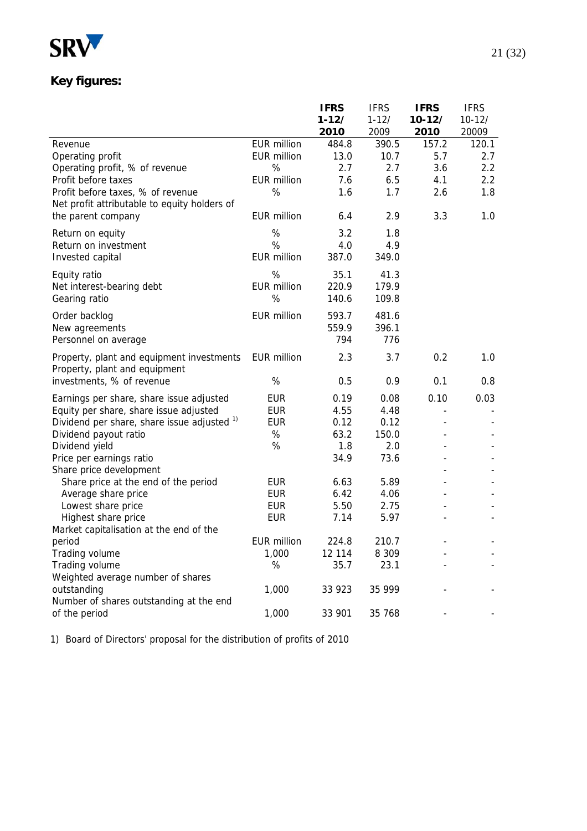

# **Key figures:**

|                                                                                    |                    | <b>IFRS</b> | <b>IFRS</b> | <b>IFRS</b> | <b>IFRS</b> |
|------------------------------------------------------------------------------------|--------------------|-------------|-------------|-------------|-------------|
|                                                                                    |                    | $1 - 12/$   | $1 - 12/$   | $10-12/$    | $10 - 12/$  |
|                                                                                    |                    | 2010        | 2009        | 2010        | 20009       |
| Revenue                                                                            | <b>EUR million</b> | 484.8       | 390.5       | 157.2       | 120.1       |
| Operating profit                                                                   | <b>EUR million</b> | 13.0        | 10.7        | 5.7         | 2.7         |
| Operating profit, % of revenue                                                     | %                  | 2.7         | 2.7         | 3.6         | 2.2         |
| Profit before taxes                                                                | <b>EUR million</b> | 7.6         | 6.5         | 4.1         | 2.2         |
| Profit before taxes, % of revenue                                                  | %                  | 1.6         | 1.7         | 2.6         | 1.8         |
| Net profit attributable to equity holders of                                       |                    |             |             |             |             |
| the parent company                                                                 | <b>EUR million</b> | 6.4         | 2.9         | 3.3         | 1.0         |
| Return on equity                                                                   | $\%$               | 3.2         | 1.8         |             |             |
| Return on investment                                                               | %                  | 4.0         | 4.9         |             |             |
| Invested capital                                                                   | <b>EUR million</b> | 387.0       | 349.0       |             |             |
| Equity ratio                                                                       | %                  | 35.1        | 41.3        |             |             |
| Net interest-bearing debt                                                          | <b>EUR million</b> | 220.9       | 179.9       |             |             |
| Gearing ratio                                                                      | %                  | 140.6       | 109.8       |             |             |
| Order backlog                                                                      | <b>EUR million</b> | 593.7       | 481.6       |             |             |
| New agreements                                                                     |                    | 559.9       | 396.1       |             |             |
| Personnel on average                                                               |                    | 794         | 776         |             |             |
|                                                                                    | <b>EUR million</b> | 2.3         | 3.7         | 0.2         | 1.0         |
| Property, plant and equipment investments<br>Property, plant and equipment         |                    |             |             |             |             |
| investments, % of revenue                                                          | $\%$               | 0.5         | 0.9         | 0.1         | 0.8         |
|                                                                                    | <b>EUR</b>         | 0.19        | 0.08        | 0.10        | 0.03        |
| Earnings per share, share issue adjusted<br>Equity per share, share issue adjusted | <b>EUR</b>         | 4.55        | 4.48        |             |             |
| Dividend per share, share issue adjusted 1)                                        | <b>EUR</b>         | 0.12        | 0.12        |             |             |
| Dividend payout ratio                                                              | %                  | 63.2        | 150.0       |             |             |
| Dividend yield                                                                     | $\%$               | 1.8         | 2.0         |             |             |
| Price per earnings ratio                                                           |                    | 34.9        | 73.6        |             |             |
| Share price development                                                            |                    |             |             |             |             |
| Share price at the end of the period                                               | <b>EUR</b>         | 6.63        | 5.89        |             |             |
| Average share price                                                                | <b>EUR</b>         | 6.42        | 4.06        |             |             |
| Lowest share price                                                                 | <b>EUR</b>         | 5.50        | 2.75        |             |             |
| Highest share price                                                                | <b>EUR</b>         | 7.14        | 5.97        |             |             |
| Market capitalisation at the end of the                                            |                    |             |             |             |             |
| period                                                                             | <b>EUR million</b> | 224.8       | 210.7       |             |             |
| Trading volume                                                                     | 1,000              | 12 114      | 8 3 0 9     |             |             |
| Trading volume                                                                     | %                  | 35.7        | 23.1        |             |             |
| Weighted average number of shares                                                  |                    |             |             |             |             |
| outstanding                                                                        | 1,000              | 33 923      | 35 999      |             |             |
| Number of shares outstanding at the end                                            |                    |             |             |             |             |
| of the period                                                                      | 1,000              | 33 901      | 35 768      |             |             |

1) Board of Directors' proposal for the distribution of profits of 2010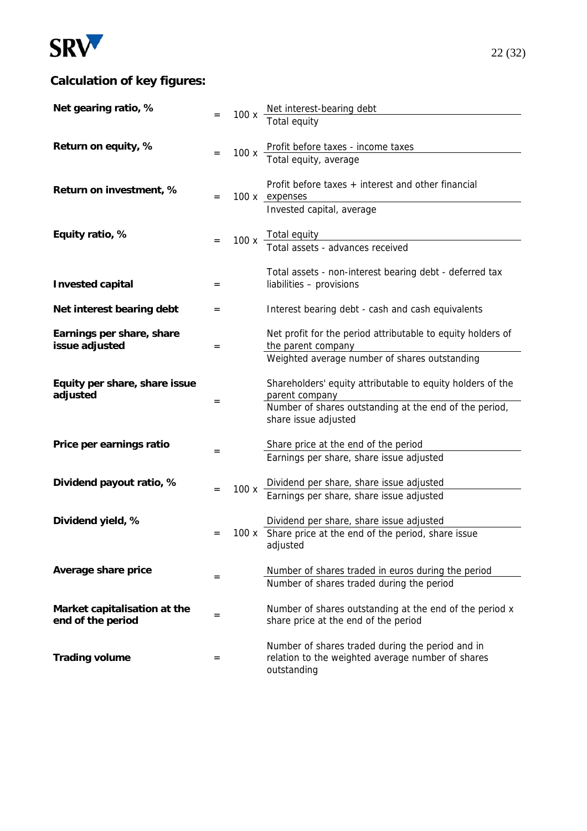

# **Calculation of key figures:**

| Net gearing ratio, %          |     |      | 100 x $\frac{\text{Net interest-bearing debt}}{\text{#}}$                            |
|-------------------------------|-----|------|--------------------------------------------------------------------------------------|
|                               |     |      | Total equity                                                                         |
|                               |     |      |                                                                                      |
| Return on equity, %           | $=$ | 100x | Profit before taxes - income taxes<br>Total equity, average                          |
|                               |     |      |                                                                                      |
|                               |     |      | Profit before taxes + interest and other financial                                   |
| Return on investment, %       | $=$ |      | 100 x expenses                                                                       |
|                               |     |      | Invested capital, average                                                            |
| Equity ratio, %               |     |      |                                                                                      |
|                               |     |      | 100 x Total equity<br>Total assets - advances received                               |
|                               |     |      |                                                                                      |
|                               |     |      | Total assets - non-interest bearing debt - deferred tax                              |
| <b>Invested capital</b>       | $=$ |      | liabilities - provisions                                                             |
| Net interest bearing debt     | $=$ |      | Interest bearing debt - cash and cash equivalents                                    |
|                               |     |      |                                                                                      |
| Earnings per share, share     |     |      | Net profit for the period attributable to equity holders of                          |
| issue adjusted                | $=$ |      | the parent company                                                                   |
|                               |     |      | Weighted average number of shares outstanding                                        |
| Equity per share, share issue |     |      | Shareholders' equity attributable to equity holders of the                           |
| adjusted                      | $=$ |      | parent company                                                                       |
|                               |     |      | Number of shares outstanding at the end of the period,<br>share issue adjusted       |
|                               |     |      |                                                                                      |
| Price per earnings ratio      |     |      | Share price at the end of the period                                                 |
|                               | $=$ |      | Earnings per share, share issue adjusted                                             |
|                               |     |      |                                                                                      |
| Dividend payout ratio, %      | $=$ | 100x | Dividend per share, share issue adjusted<br>Earnings per share, share issue adjusted |
|                               |     |      |                                                                                      |
| Dividend yield, %             |     |      | Dividend per share, share issue adjusted                                             |
|                               | $=$ |      | 100 x Share price at the end of the period, share issue                              |
|                               |     |      | adjusted                                                                             |
| Average share price           |     |      | Number of shares traded in euros during the period                                   |
|                               | $=$ |      | Number of shares traded during the period                                            |
|                               |     |      |                                                                                      |
| Market capitalisation at the  | $=$ |      | Number of shares outstanding at the end of the period x                              |
| end of the period             |     |      | share price at the end of the period                                                 |
|                               |     |      | Number of shares traded during the period and in                                     |
| <b>Trading volume</b>         | $=$ |      | relation to the weighted average number of shares                                    |
|                               |     |      | outstanding                                                                          |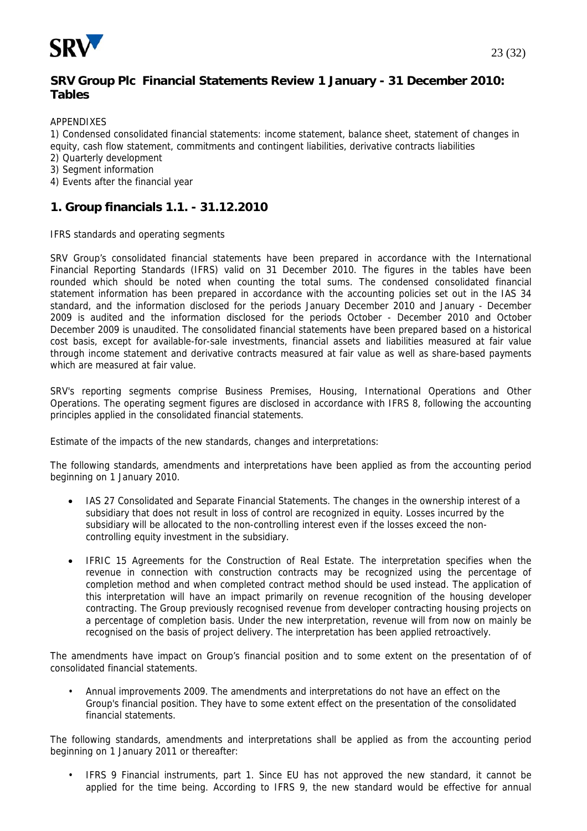

## **SRV Group Plc Financial Statements Review 1 January - 31 December 2010: Tables**

APPENDIXES

1) Condensed consolidated financial statements: income statement, balance sheet, statement of changes in equity, cash flow statement, commitments and contingent liabilities, derivative contracts liabilities

- 2) Quarterly development
- 3) Segment information
- 4) Events after the financial year

## **1. Group financials 1.1. - 31.12.2010**

IFRS standards and operating segments

SRV Group's consolidated financial statements have been prepared in accordance with the International Financial Reporting Standards (IFRS) valid on 31 December 2010. The figures in the tables have been rounded which should be noted when counting the total sums. The condensed consolidated financial statement information has been prepared in accordance with the accounting policies set out in the IAS 34 standard, and the information disclosed for the periods January December 2010 and January - December 2009 is audited and the information disclosed for the periods October - December 2010 and October December 2009 is unaudited. The consolidated financial statements have been prepared based on a historical cost basis, except for available-for-sale investments, financial assets and liabilities measured at fair value through income statement and derivative contracts measured at fair value as well as share-based payments which are measured at fair value.

SRV's reporting segments comprise Business Premises, Housing, International Operations and Other Operations. The operating segment figures are disclosed in accordance with IFRS 8, following the accounting principles applied in the consolidated financial statements.

Estimate of the impacts of the new standards, changes and interpretations:

The following standards, amendments and interpretations have been applied as from the accounting period beginning on 1 January 2010.

- IAS 27 Consolidated and Separate Financial Statements. The changes in the ownership interest of a subsidiary that does not result in loss of control are recognized in equity. Losses incurred by the subsidiary will be allocated to the non-controlling interest even if the losses exceed the noncontrolling equity investment in the subsidiary.
- IFRIC 15 Agreements for the Construction of Real Estate. The interpretation specifies when the revenue in connection with construction contracts may be recognized using the percentage of completion method and when completed contract method should be used instead. The application of this interpretation will have an impact primarily on revenue recognition of the housing developer contracting. The Group previously recognised revenue from developer contracting housing projects on a percentage of completion basis. Under the new interpretation, revenue will from now on mainly be recognised on the basis of project delivery. The interpretation has been applied retroactively.

The amendments have impact on Group's financial position and to some extent on the presentation of of consolidated financial statements.

• Annual improvements 2009. The amendments and interpretations do not have an effect on the Group's financial position. They have to some extent effect on the presentation of the consolidated financial statements.

The following standards, amendments and interpretations shall be applied as from the accounting period beginning on 1 January 2011 or thereafter:

• IFRS 9 Financial instruments, part 1. Since EU has not approved the new standard, it cannot be applied for the time being. According to IFRS 9, the new standard would be effective for annual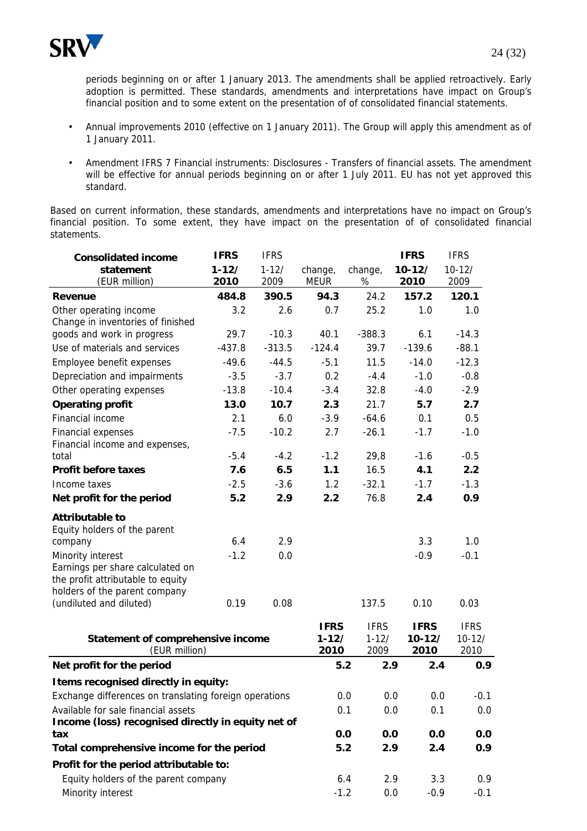

periods beginning on or after 1 January 2013. The amendments shall be applied retroactively. Early adoption is permitted. These standards, amendments and interpretations have impact on Group's financial position and to some extent on the presentation of of consolidated financial statements.

- Annual improvements 2010 (effective on 1 January 2011). The Group will apply this amendment as of 1 January 2011.
- Amendment IFRS 7 Financial instruments: Disclosures Transfers of financial assets. The amendment will be effective for annual periods beginning on or after 1 July 2011. EU has not yet approved this standard.

Based on current information, these standards, amendments and interpretations have no impact on Group's financial position. To some extent, they have impact on the presentation of of consolidated financial statements.

| <b>Consolidated income</b>                             | <b>IFRS</b> | <b>IFRS</b> |             |             | <b>IFRS</b>   | <b>IFRS</b> |
|--------------------------------------------------------|-------------|-------------|-------------|-------------|---------------|-------------|
| statement                                              | $1 - 12/$   | $1 - 12/$   | change,     | change,     | $10-12/$      | $10 - 12/$  |
| (EUR million)                                          | 2010        | 2009        | <b>MEUR</b> | %           | 2010          | 2009        |
| <b>Revenue</b>                                         | 484.8       | 390.5       | 94.3        | 24.2        | 157.2         | 120.1       |
| Other operating income                                 | 3.2         | 2.6         | 0.7         | 25.2        | 1.0           | 1.0         |
| Change in inventories of finished                      |             |             |             |             |               |             |
| goods and work in progress                             | 29.7        | $-10.3$     | 40.1        | $-388.3$    | 6.1           | $-14.3$     |
| Use of materials and services                          | $-437.8$    | $-313.5$    | $-124.4$    | 39.7        | $-139.6$      | $-88.1$     |
| Employee benefit expenses                              | $-49.6$     | $-44.5$     | $-5.1$      | 11.5        | $-14.0$       | $-12.3$     |
| Depreciation and impairments                           | $-3.5$      | $-3.7$      | 0.2         | $-4.4$      | $-1.0$        | $-0.8$      |
| Other operating expenses                               | $-13.8$     | $-10.4$     | $-3.4$      | 32.8        | $-4.0$        | $-2.9$      |
| <b>Operating profit</b>                                | 13.0        | 10.7        | 2.3         | 21.7        | 5.7           | 2.7         |
| Financial income                                       | 2.1         | 6.0         | $-3.9$      | $-64.6$     | 0.1           | 0.5         |
| Financial expenses                                     | $-7.5$      | $-10.2$     | 2.7         | $-26.1$     | $-1.7$        | $-1.0$      |
| Financial income and expenses,                         |             |             |             |             |               |             |
| total                                                  | $-5.4$      | $-4.2$      | $-1.2$      | 29,8        | $-1.6$        | $-0.5$      |
| <b>Profit before taxes</b>                             | 7.6         | 6.5         | 1.1         | 16.5        | 4.1           | 2.2         |
| Income taxes                                           | $-2.5$      | $-3.6$      | 1.2         | $-32.1$     | $-1.7$        | $-1.3$      |
| Net profit for the period                              | 5.2         | 2.9         | 2.2         | 76.8        | 2.4           | 0.9         |
| <b>Attributable to</b>                                 |             |             |             |             |               |             |
| Equity holders of the parent                           |             |             |             |             |               |             |
| company                                                | 6.4         | 2.9         |             |             | 3.3           | 1.0         |
| Minority interest                                      | $-1.2$      | 0.0         |             |             | $-0.9$        | $-0.1$      |
| Earnings per share calculated on                       |             |             |             |             |               |             |
| the profit attributable to equity                      |             |             |             |             |               |             |
| holders of the parent company                          |             |             |             |             |               |             |
| (undiluted and diluted)                                | 0.19        | 0.08        |             | 137.5       | 0.10          | 0.03        |
|                                                        |             |             | <b>IFRS</b> | <b>IFRS</b> | <b>IFRS</b>   | <b>IFRS</b> |
| Statement of comprehensive income                      |             |             | $1 - 12/$   | $1 - 12/$   | $10-12/$      | $10 - 12/$  |
| (EUR million)                                          |             |             | 2010        | 2009        | 2010          | 2010        |
| Net profit for the period                              |             |             | 5.2         | 2.9         | 2.4           | 0.9         |
| Items recognised directly in equity:                   |             |             |             |             |               |             |
| Exchange differences on translating foreign operations |             |             | 0.0         |             | 0.0<br>0.0    | -0.1        |
| Available for sale financial assets                    |             | 0.1         |             | 0.0<br>0.1  | 0.0           |             |
| Income (loss) recognised directly in equity net of     |             |             |             |             |               |             |
| tax                                                    |             |             | 0.0         | 0.0         | 0.0           | 0.0         |
| Total comprehensive income for the period              |             |             | 5.2         | 2.9         | 2.4           | 0.9         |
| Profit for the period attributable to:                 |             |             |             |             |               |             |
| Equity holders of the parent company                   |             |             |             | 6.4         | 3.3<br>2.9    | 0.9         |
| Minority interest                                      |             |             | $-1.2$      |             | 0.0<br>$-0.9$ | $-0.1$      |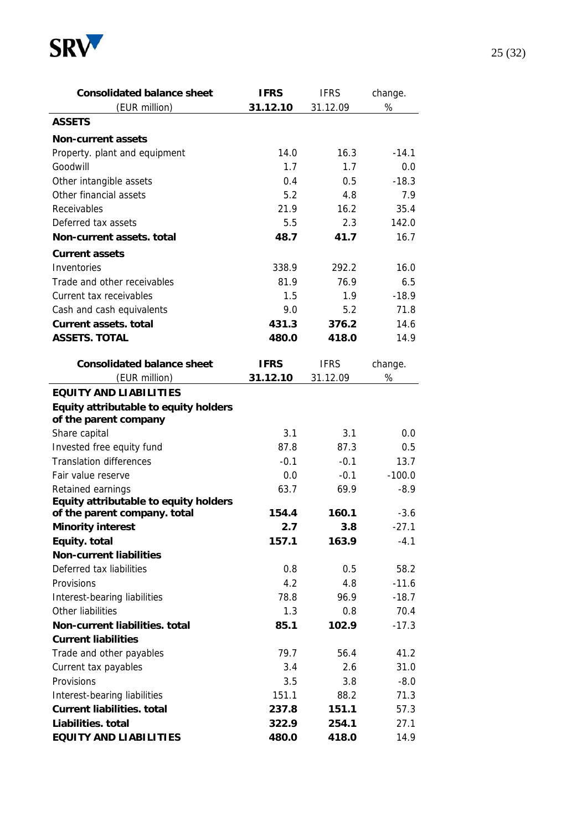

| <b>Consolidated balance sheet</b>     | <b>IFRS</b> | <b>IFRS</b> | change.  |
|---------------------------------------|-------------|-------------|----------|
| (EUR million)                         | 31.12.10    | 31.12.09    | $\%$     |
| <b>ASSETS</b>                         |             |             |          |
| <b>Non-current assets</b>             |             |             |          |
| Property. plant and equipment         | 14.0        | 16.3        | $-14.1$  |
| Goodwill                              | 1.7         | 1.7         | 0.0      |
| Other intangible assets               | 0.4         | 0.5         | $-18.3$  |
| Other financial assets                | 5.2         | 4.8         | 7.9      |
| Receivables                           | 21.9        | 16.2        | 35.4     |
| Deferred tax assets                   | 5.5         | 2.3         | 142.0    |
| Non-current assets. total             | 48.7        | 41.7        | 16.7     |
| <b>Current assets</b>                 |             |             |          |
| Inventories                           | 338.9       | 292.2       | 16.0     |
| Trade and other receivables           | 81.9        | 76.9        | 6.5      |
| Current tax receivables               | 1.5         | 1.9         | $-18.9$  |
| Cash and cash equivalents             | 9.0         | 5.2         | 71.8     |
| <b>Current assets. total</b>          | 431.3       | 376.2       | 14.6     |
| <b>ASSETS. TOTAL</b>                  | 480.0       | 418.0       | 14.9     |
| <b>Consolidated balance sheet</b>     | <b>IFRS</b> | <b>IFRS</b> | change.  |
| (EUR million)                         | 31.12.10    | 31.12.09    | %        |
| <b>EQUITY AND LIABILITIES</b>         |             |             |          |
| Equity attributable to equity holders |             |             |          |
| of the parent company                 |             |             |          |
| Share capital                         | 3.1         | 3.1         | 0.0      |
| Invested free equity fund             | 87.8        | 87.3        | 0.5      |
| <b>Translation differences</b>        | $-0.1$      | $-0.1$      | 13.7     |
| Fair value reserve                    | 0.0         | $-0.1$      | $-100.0$ |
| Retained earnings                     | 63.7        | 69.9        | $-8.9$   |
| Equity attributable to equity holders |             |             |          |
| of the parent company. total          | 154.4       | 160.1       | $-3.6$   |
| <b>Minority interest</b>              | 2.7         | 3.8         | $-27.1$  |
| Equity. total                         | 157.1       | 163.9       | $-4.1$   |
| <b>Non-current liabilities</b>        |             |             |          |
| Deferred tax liabilities              | 0.8         | 0.5         | 58.2     |
| Provisions                            | 4.2         | 4.8         | $-11.6$  |
| Interest-bearing liabilities          | 78.8        | 96.9        | $-18.7$  |
| Other liabilities                     | 1.3         | 0.8         | 70.4     |
| Non-current liabilities. total        | 85.1        | 102.9       | $-17.3$  |
| <b>Current liabilities</b>            |             |             |          |
| Trade and other payables              | 79.7        | 56.4        | 41.2     |
| Current tax payables                  | 3.4         | 2.6         | 31.0     |
| Provisions                            | 3.5         | 3.8         | $-8.0$   |
| Interest-bearing liabilities          | 151.1       | 88.2        | 71.3     |
| <b>Current liabilities. total</b>     | 237.8       | 151.1       | 57.3     |
| Liabilities. total                    | 322.9       | 254.1       | 27.1     |
| <b>EQUITY AND LIABILITIES</b>         | 480.0       | 418.0       | 14.9     |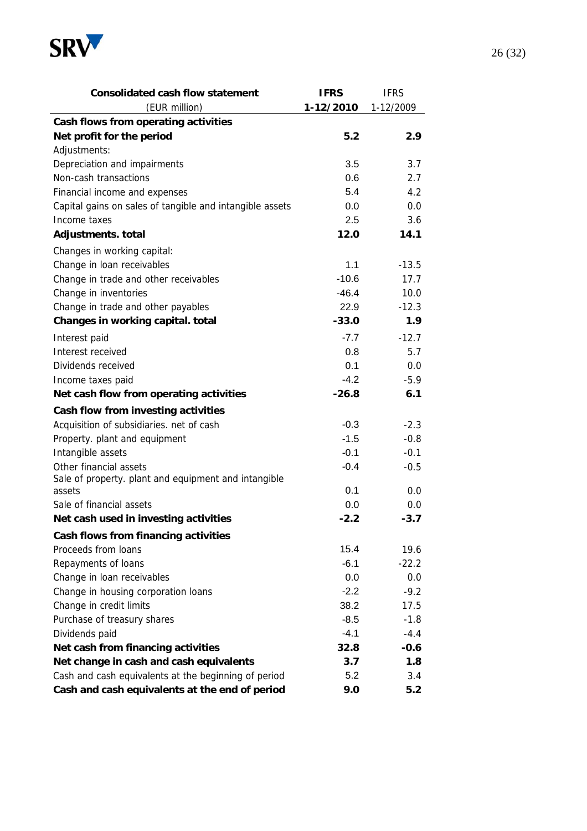

| <b>Consolidated cash flow statement</b>                  | <b>IFRS</b> | <b>IFRS</b>      |
|----------------------------------------------------------|-------------|------------------|
| (EUR million)                                            | 1-12/2010   | 1-12/2009        |
| Cash flows from operating activities                     |             |                  |
| Net profit for the period                                | 5.2         | 2.9              |
| Adjustments:                                             |             |                  |
| Depreciation and impairments                             | 3.5         | 3.7              |
| Non-cash transactions                                    | 0.6         | 2.7              |
| Financial income and expenses                            | 5.4         | 4.2              |
| Capital gains on sales of tangible and intangible assets | 0.0         | 0.0              |
| Income taxes                                             | 2.5         | 3.6              |
| Adjustments. total                                       | 12.0        | 14.1             |
| Changes in working capital:                              |             |                  |
| Change in loan receivables                               | 1.1         | $-13.5$          |
| Change in trade and other receivables                    | $-10.6$     | 17.7             |
| Change in inventories                                    | $-46.4$     | 10.0             |
| Change in trade and other payables                       | 22.9        | $-12.3$          |
| Changes in working capital. total                        | $-33.0$     | 1.9 <sub>2</sub> |
| Interest paid                                            | $-7.7$      | $-12.7$          |
| Interest received                                        | 0.8         | 5.7              |
| Dividends received                                       | 0.1         | 0.0              |
| Income taxes paid                                        | $-4.2$      | $-5.9$           |
| Net cash flow from operating activities                  | $-26.8$     | 6.1              |
| Cash flow from investing activities                      |             |                  |
| Acquisition of subsidiaries. net of cash                 | $-0.3$      | $-2.3$           |
| Property. plant and equipment                            | $-1.5$      | $-0.8$           |
| Intangible assets                                        | $-0.1$      | $-0.1$           |
| Other financial assets                                   | $-0.4$      | $-0.5$           |
| Sale of property. plant and equipment and intangible     |             |                  |
| assets                                                   | 0.1         | 0.0              |
| Sale of financial assets                                 | 0.0         | 0.0              |
| Net cash used in investing activities                    | $-2.2$      | $-3.7$           |
| Cash flows from financing activities                     |             |                  |
| Proceeds from loans                                      | 15.4        | 19.6             |
| Repayments of loans                                      | $-6.1$      | $-22.2$          |
| Change in loan receivables                               | 0.0         | 0.0              |
| Change in housing corporation loans                      | $-2.2$      | $-9.2$           |
| Change in credit limits                                  | 38.2        | 17.5             |
| Purchase of treasury shares                              | $-8.5$      | $-1.8$           |
| Dividends paid                                           | -4.1        | $-4.4$           |
| Net cash from financing activities                       | 32.8        | $-0.6$           |
| Net change in cash and cash equivalents                  | 3.7         | 1.8              |
| Cash and cash equivalents at the beginning of period     | 5.2         | 3.4              |
| Cash and cash equivalents at the end of period           | 9.0         | 5.2              |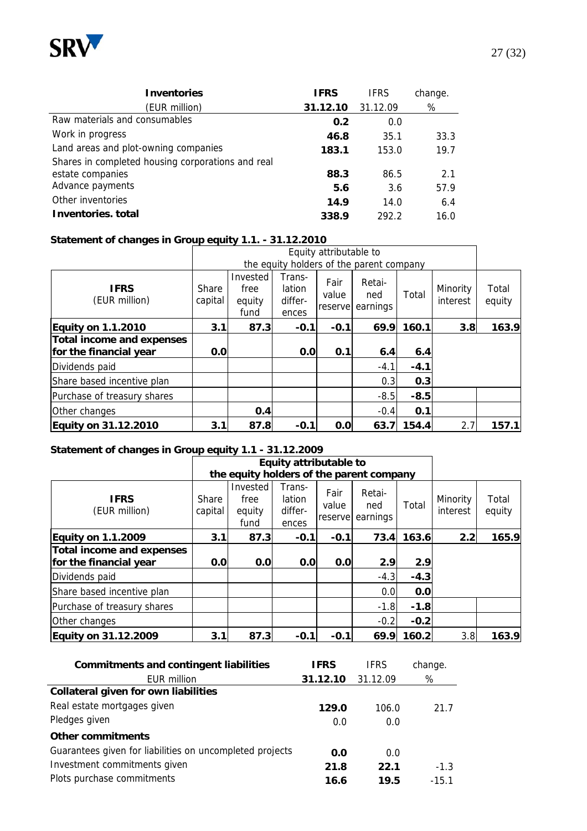

| <b>Inventories</b>                                                    | <b>IFRS</b> | <b>IFRS</b> | change. |
|-----------------------------------------------------------------------|-------------|-------------|---------|
| (EUR million)                                                         | 31.12.10    | 31.12.09    | %       |
| Raw materials and consumables                                         | 0.2         | 0.0         |         |
| Work in progress                                                      | 46.8        | 35.1        | 33.3    |
| Land areas and plot-owning companies                                  | 183.1       | 153.0       | 19.7    |
| Shares in completed housing corporations and real<br>estate companies | 88.3        | 86.5        | 2.1     |
| Advance payments                                                      | 5.6         | 3.6         | 57.9    |
| Other inventories                                                     | 14.9        | 14.0        | 6.4     |
| Inventories, total                                                    | 338.9       | 292.2       | 16.0    |

#### **Statement of changes in Group equity 1.1. - 31.12.2010**

|                                  |                  |                                    |                                      | Equity attributable to   |                                          |        |                      |                 |
|----------------------------------|------------------|------------------------------------|--------------------------------------|--------------------------|------------------------------------------|--------|----------------------|-----------------|
|                                  |                  |                                    |                                      |                          | the equity holders of the parent company |        |                      |                 |
| <b>IFRS</b><br>(EUR million)     | Share<br>capital | Invested<br>free<br>equity<br>fund | Trans-<br>lation<br>differ-<br>ences | Fair<br>value<br>reserve | Retai-<br>ned<br>earnings                | Total  | Minority<br>interest | Total<br>equity |
| <b>Equity on 1.1.2010</b>        | 3.1              | 87.3                               | $-0.1$                               | $-0.1$                   | 69.9                                     | 160.1  | 3.8                  | 163.9           |
| <b>Total income and expenses</b> |                  |                                    |                                      |                          |                                          |        |                      |                 |
| for the financial year           | 0.0              |                                    | 0.0                                  | 0.1                      | 6.4                                      | 6.4    |                      |                 |
| Dividends paid                   |                  |                                    |                                      |                          | $-4.1$                                   | $-4.1$ |                      |                 |
| Share based incentive plan       |                  |                                    |                                      |                          | 0.3                                      | 0.3    |                      |                 |
| Purchase of treasury shares      |                  |                                    |                                      |                          | $-8.5$                                   | $-8.5$ |                      |                 |
| Other changes                    |                  | 0.4                                |                                      |                          | $-0.4$                                   | 0.1    |                      |                 |
| <b>Equity on 31.12.2010</b>      | 3.1              | 87.8                               | $-0.1$                               | 0.0                      | 63.7                                     | 154.4  | 2.7                  | 157.1           |

#### **Statement of changes in Group equity 1.1 - 31.12.2009**

|                                  |                  | Equity attributable to                   |                                      |                          |                           |        |                      |                 |
|----------------------------------|------------------|------------------------------------------|--------------------------------------|--------------------------|---------------------------|--------|----------------------|-----------------|
|                                  |                  | the equity holders of the parent company |                                      |                          |                           |        |                      |                 |
| <b>IFRS</b><br>(EUR million)     | Share<br>capital | Invested<br>free<br>equity<br>fund       | Trans-<br>lation<br>differ-<br>ences | Fair<br>value<br>reserve | Retai-<br>ned<br>earnings | Total  | Minority<br>interest | Total<br>equity |
| <b>Equity on 1.1.2009</b>        | 3.1              | 87.3                                     | $-0.1$                               | $-0.1$                   | 73.4                      | 163.6  | 2.2                  | 165.9           |
| <b>Total income and expenses</b> |                  |                                          |                                      |                          |                           |        |                      |                 |
| for the financial year           | 0.0              | 0.0                                      | 0.0                                  | 0.0                      | 2.9                       | 2.9    |                      |                 |
| Dividends paid                   |                  |                                          |                                      |                          | $-4.3$                    | $-4.3$ |                      |                 |
| Share based incentive plan       |                  |                                          |                                      |                          | 0.0                       | 0.0    |                      |                 |
| Purchase of treasury shares      |                  |                                          |                                      |                          | $-1.8$                    | $-1.8$ |                      |                 |
| Other changes                    |                  |                                          |                                      |                          | $-0.2$                    | $-0.2$ |                      |                 |
| Equity on 31.12.2009             | 3.1              | 87.3                                     | $-0.1$                               | $-0.1$                   | 69.9                      | 160.2  | 3.8                  | 163.9           |

| <b>Commitments and contingent liabilities</b>            | <b>IFRS</b> | <b>IFRS</b> | change. |
|----------------------------------------------------------|-------------|-------------|---------|
| <b>EUR million</b>                                       | 31.12.10    | 31.12.09    | %       |
| <b>Collateral given for own liabilities</b>              |             |             |         |
| Real estate mortgages given                              | 129.0       | 106.0       | 21.7    |
| Pledges given                                            | 0.0         | 0.0         |         |
| <b>Other commitments</b>                                 |             |             |         |
| Guarantees given for liabilities on uncompleted projects | 0.0         | 0.0         |         |
| Investment commitments given                             | 21.8        | 22.1        | $-1.3$  |
| Plots purchase commitments                               | 16.6        | 19.5        | $-15.1$ |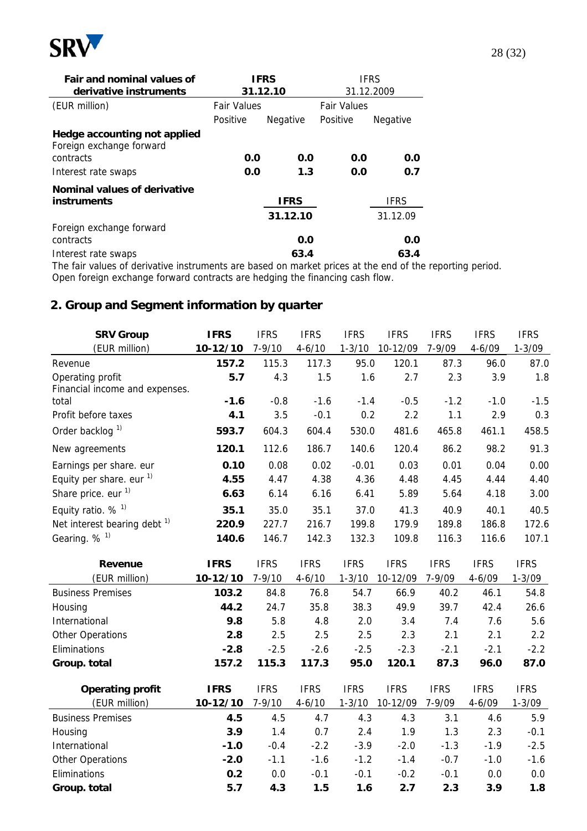

| Fair and nominal values of<br>derivative instruments                  |                    | <b>IFRS</b><br>31.12.10 | <b>IFRS</b><br>31.12.2009 |                         |  |
|-----------------------------------------------------------------------|--------------------|-------------------------|---------------------------|-------------------------|--|
| (EUR million)                                                         | <b>Fair Values</b> |                         | <b>Fair Values</b>        |                         |  |
|                                                                       | Positive           | Negative                | Positive                  | <b>Negative</b>         |  |
| Hedge accounting not applied<br>Foreign exchange forward<br>contracts | 0.0<br>0.0         |                         | 0.0<br>0.0                | 0.0                     |  |
| Interest rate swaps                                                   |                    | 1.3<br>0.0              |                           | 0.7                     |  |
| Nominal values of derivative<br><i>instruments</i>                    |                    | <b>IFRS</b><br>31.12.10 |                           | <b>IFRS</b><br>31.12.09 |  |
| Foreign exchange forward<br>contracts                                 |                    | 0.0                     |                           | 0.0                     |  |
| Interest rate swaps                                                   |                    | 63.4                    |                           | 63.4                    |  |

The fair values of derivative instruments are based on market prices at the end of the reporting period. Open foreign exchange forward contracts are hedging the financing cash flow.

## **2. Group and Segment information by quarter**

| <b>SRV Group</b>                        | <b>IFRS</b> | <b>IFRS</b> | <b>IFRS</b> | <b>IFRS</b> | <b>IFRS</b> | <b>IFRS</b> | <b>IFRS</b> | <b>IFRS</b> |
|-----------------------------------------|-------------|-------------|-------------|-------------|-------------|-------------|-------------|-------------|
| (EUR million)                           | 10-12/10    | $7 - 9/10$  | $4 - 6/10$  | $1 - 3/10$  | 10-12/09    | 7-9/09      | $4 - 6/09$  | $1 - 3/09$  |
| Revenue                                 | 157.2       | 115.3       | 117.3       | 95.0        | 120.1       | 87.3        | 96.0        | 87.0        |
| Operating profit                        | 5.7         | 4.3         | 1.5         | 1.6         | 2.7         | 2.3         | 3.9         | 1.8         |
| Financial income and expenses.          |             |             |             |             |             |             |             |             |
| total                                   | $-1.6$      | $-0.8$      | $-1.6$      | $-1.4$      | $-0.5$      | $-1.2$      | $-1.0$      | $-1.5$      |
| Profit before taxes                     | 4.1         | 3.5         | $-0.1$      | 0.2         | 2.2         | 1.1         | 2.9         | 0.3         |
| Order backlog <sup>1)</sup>             | 593.7       | 604.3       | 604.4       | 530.0       | 481.6       | 465.8       | 461.1       | 458.5       |
| New agreements                          | 120.1       | 112.6       | 186.7       | 140.6       | 120.4       | 86.2        | 98.2        | 91.3        |
| Earnings per share. eur                 | 0.10        | 0.08        | 0.02        | $-0.01$     | 0.03        | 0.01        | 0.04        | 0.00        |
| Equity per share. eur $1$ )             | 4.55        | 4.47        | 4.38        | 4.36        | 4.48        | 4.45        | 4.44        | 4.40        |
| Share price. eur <sup>1)</sup>          | 6.63        | 6.14        | 6.16        | 6.41        | 5.89        | 5.64        | 4.18        | 3.00        |
| Equity ratio. $%$ <sup>1)</sup>         | 35.1        | 35.0        | 35.1        | 37.0        | 41.3        | 40.9        | 40.1        | 40.5        |
| Net interest bearing debt <sup>1)</sup> | 220.9       | 227.7       | 216.7       | 199.8       | 179.9       | 189.8       | 186.8       | 172.6       |
| Gearing. % <sup>1)</sup>                | 140.6       | 146.7       | 142.3       | 132.3       | 109.8       | 116.3       | 116.6       | 107.1       |
| Revenue                                 | <b>IFRS</b> | <b>IFRS</b> | <b>IFRS</b> | <b>IFRS</b> | <b>IFRS</b> | <b>IFRS</b> | <b>IFRS</b> | <b>IFRS</b> |
| (EUR million)                           | 10-12/10    | $7 - 9/10$  | $4 - 6/10$  | $1 - 3/10$  | 10-12/09    | 7-9/09      | $4 - 6/09$  | $1 - 3/09$  |
| <b>Business Premises</b>                | 103.2       | 84.8        | 76.8        | 54.7        | 66.9        | 40.2        | 46.1        | 54.8        |
| Housing                                 | 44.2        | 24.7        | 35.8        | 38.3        | 49.9        | 39.7        | 42.4        | 26.6        |
| International                           | 9.8         | 5.8         | 4.8         | 2.0         | 3.4         | 7.4         | 7.6         | 5.6         |
| <b>Other Operations</b>                 | 2.8         | 2.5         | 2.5         | 2.5         | 2.3         | 2.1         | 2.1         | 2.2         |
| Eliminations                            | $-2.8$      | $-2.5$      | $-2.6$      | $-2.5$      | $-2.3$      | $-2.1$      | $-2.1$      | $-2.2$      |
| Group. total                            | 157.2       | 115.3       | 117.3       | 95.0        | 120.1       | 87.3        | 96.0        | 87.0        |
| <b>Operating profit</b>                 | <b>IFRS</b> | <b>IFRS</b> | <b>IFRS</b> | <b>IFRS</b> | <b>IFRS</b> | <b>IFRS</b> | <b>IFRS</b> | <b>IFRS</b> |
| (EUR million)                           | 10-12/10    | $7 - 9/10$  | $4 - 6/10$  | $1 - 3/10$  | 10-12/09    | 7-9/09      | $4 - 6/09$  | $1 - 3/09$  |
| <b>Business Premises</b>                | 4.5         | 4.5         | 4.7         | 4.3         | 4.3         | 3.1         | 4.6         | 5.9         |
| Housing                                 | 3.9         | 1.4         | 0.7         | 2.4         | 1.9         | 1.3         | 2.3         | $-0.1$      |
| International                           | $-1.0$      | $-0.4$      | $-2.2$      | $-3.9$      | $-2.0$      | $-1.3$      | $-1.9$      | $-2.5$      |
| Other Operations                        | $-2.0$      | $-1.1$      | $-1.6$      | $-1.2$      | $-1.4$      | $-0.7$      | $-1.0$      | $-1.6$      |
| Eliminations                            | 0.2         | 0.0         | $-0.1$      | $-0.1$      | $-0.2$      | $-0.1$      | 0.0         | 0.0         |
| Group. total                            | 5.7         | 4.3         | 1.5         | 1.6         | 2.7         | 2.3         | 3.9         | 1.8         |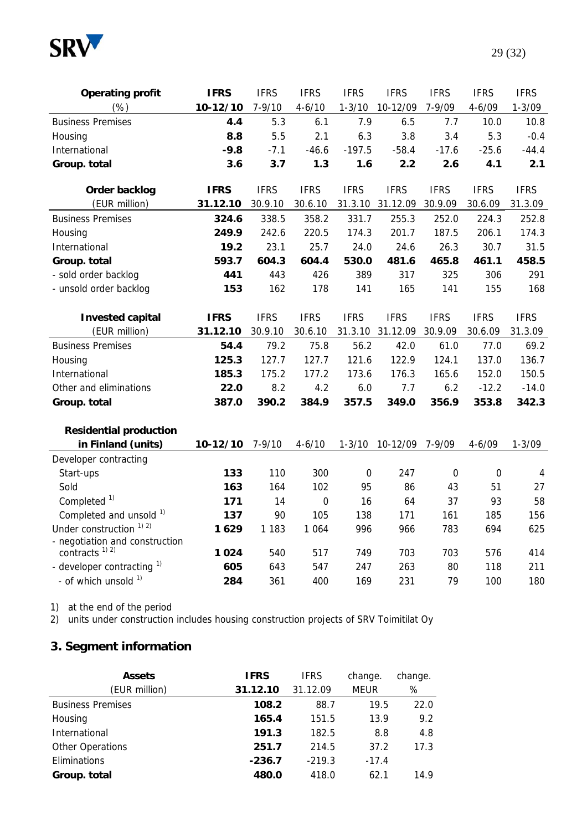

| <b>Operating profit</b>                        | <b>IFRS</b> | <b>IFRS</b> | <b>IFRS</b> | <b>IFRS</b> | <b>IFRS</b> | <b>IFRS</b> | <b>IFRS</b> | <b>IFRS</b> |
|------------------------------------------------|-------------|-------------|-------------|-------------|-------------|-------------|-------------|-------------|
| (%)                                            | 10-12/10    | $7 - 9/10$  | $4 - 6/10$  | $1 - 3/10$  | 10-12/09    | 7-9/09      | $4 - 6/09$  | $1 - 3/09$  |
| <b>Business Premises</b>                       | 4.4         | 5.3         | 6.1         | 7.9         | 6.5         | 7.7         | 10.0        | 10.8        |
| Housing                                        | 8.8         | 5.5         | 2.1         | 6.3         | 3.8         | 3.4         | 5.3         | $-0.4$      |
| International                                  | $-9.8$      | $-7.1$      | $-46.6$     | $-197.5$    | $-58.4$     | $-17.6$     | $-25.6$     | $-44.4$     |
| Group. total                                   | 3.6         | 3.7         | 1.3         | 1.6         | 2.2         | 2.6         | 4.1         | 2.1         |
| Order backlog                                  | <b>IFRS</b> | <b>IFRS</b> | <b>IFRS</b> | <b>IFRS</b> | <b>IFRS</b> | <b>IFRS</b> | <b>IFRS</b> | <b>IFRS</b> |
| (EUR million)                                  | 31.12.10    | 30.9.10     | 30.6.10     | 31.3.10     | 31.12.09    | 30.9.09     | 30.6.09     | 31.3.09     |
| <b>Business Premises</b>                       | 324.6       | 338.5       | 358.2       | 331.7       | 255.3       | 252.0       | 224.3       | 252.8       |
| Housing                                        | 249.9       | 242.6       | 220.5       | 174.3       | 201.7       | 187.5       | 206.1       | 174.3       |
| International                                  | 19.2        | 23.1        | 25.7        | 24.0        | 24.6        | 26.3        | 30.7        | 31.5        |
| Group. total                                   | 593.7       | 604.3       | 604.4       | 530.0       | 481.6       | 465.8       | 461.1       | 458.5       |
| - sold order backlog                           | 441         | 443         | 426         | 389         | 317         | 325         | 306         | 291         |
| - unsold order backlog                         | 153         | 162         | 178         | 141         | 165         | 141         | 155         | 168         |
|                                                |             |             |             |             |             |             |             |             |
| <b>Invested capital</b>                        | <b>IFRS</b> | <b>IFRS</b> | <b>IFRS</b> | <b>IFRS</b> | <b>IFRS</b> | <b>IFRS</b> | <b>IFRS</b> | <b>IFRS</b> |
| (EUR million)                                  | 31.12.10    | 30.9.10     | 30.6.10     | 31.3.10     | 31.12.09    | 30.9.09     | 30.6.09     | 31.3.09     |
| <b>Business Premises</b>                       | 54.4        | 79.2        | 75.8        | 56.2        | 42.0        | 61.0        | 77.0        | 69.2        |
| Housing                                        | 125.3       | 127.7       | 127.7       | 121.6       | 122.9       | 124.1       | 137.0       | 136.7       |
| International                                  | 185.3       | 175.2       | 177.2       | 173.6       | 176.3       | 165.6       | 152.0       | 150.5       |
| Other and eliminations                         | 22.0        | 8.2         | 4.2         | 6.0         | 7.7         | 6.2         | $-12.2$     | $-14.0$     |
| Group. total                                   | 387.0       | 390.2       | 384.9       | 357.5       | 349.0       | 356.9       | 353.8       | 342.3       |
| <b>Residential production</b>                  |             |             |             |             |             |             |             |             |
| in Finland (units)                             | 10-12/10    | $7 - 9/10$  | $4 - 6/10$  | $1 - 3/10$  | 10-12/09    | 7-9/09      | $4 - 6/09$  | $1 - 3/09$  |
| Developer contracting                          |             |             |             |             |             |             |             |             |
| Start-ups                                      | 133         | 110         | 300         | $\Omega$    | 247         | $\Omega$    | $\Omega$    | 4           |
| Sold                                           | 163         | 164         | 102         | 95          | 86          | 43          | 51          | 27          |
| Completed <sup>1)</sup>                        | 171         | 14          | $\mathbf 0$ | 16          | 64          | 37          | 93          | 58          |
| Completed and unsold 1)                        | 137         | 90          | 105         | 138         | 171         | 161         | 185         | 156         |
| Under construction <sup>1)</sup> <sup>2)</sup> | 1629        | 1 1 8 3     | 1 0 6 4     | 996         | 966         | 783         | 694         | 625         |
| - negotiation and construction                 |             |             |             |             |             |             |             |             |
| contracts <sup>1) 2)</sup>                     | 1024        | 540         | 517         | 749         | 703         | 703         | 576         | 414         |
| - developer contracting 1)                     | 605         | 643         | 547         | 247         | 263         | 80          | 118         | 211         |
| - of which unsold 1)                           | 284         | 361         | 400         | 169         | 231         | 79          | 100         | 180         |

1) at the end of the period

2) units under construction includes housing construction projects of SRV Toimitilat Oy

# **3. Segment information**

| <b>Assets</b>            | <b>IFRS</b> | <b>IFRS</b> | change.     | change. |
|--------------------------|-------------|-------------|-------------|---------|
| (EUR million)            | 31.12.10    | 31.12.09    | <b>MEUR</b> | %       |
| <b>Business Premises</b> | 108.2       | 88.7        | 19.5        | 22.0    |
| Housing                  | 165.4       | 151.5       | 13.9        | 9.2     |
| International            | 191.3       | 182.5       | 8.8         | 4.8     |
| <b>Other Operations</b>  | 251.7       | 214.5       | 37.2        | 17.3    |
| Eliminations             | $-236.7$    | $-219.3$    | $-17.4$     |         |
| Group. total             | 480.0       | 418.0       | 62.1        | 14.9    |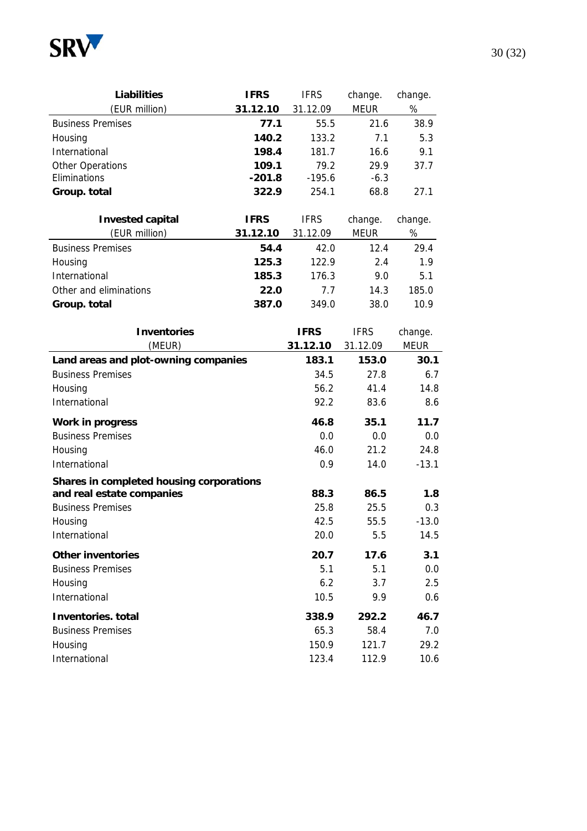

| <b>Liabilities</b>       | <b>IFRS</b> | <b>IFRS</b> | change.     | change. |
|--------------------------|-------------|-------------|-------------|---------|
| (EUR million)            | 31.12.10    | 31.12.09    | <b>MEUR</b> | %       |
| <b>Business Premises</b> | 77.1        | 55.5        | 21.6        | 38.9    |
| Housing                  | 140.2       | 133.2       | 7.1         | 5.3     |
| International            | 198.4       | 181.7       | 16.6        | 9.1     |
| Other Operations         | 109.1       | 79.2        | 29.9        | 37.7    |
| Eliminations             | $-201.8$    | $-195.6$    | $-6.3$      |         |
| Group. total             | 322.9       | 254.1       | 68.8        | 27.1    |

| <b>Invested capital</b>  | <b>IFRS</b> | <b>IFRS</b> | change.     | change. |
|--------------------------|-------------|-------------|-------------|---------|
| (EUR million)            | 31.12.10    | 31.12.09    | <b>MEUR</b> | %       |
| <b>Business Premises</b> | 54.4        | 42.0        | 12.4        | 29.4    |
| Housing                  | 125.3       | 122.9       | 2.4         | 1.9     |
| International            | 185.3       | 176.3       | 9.0         | 5.1     |
| Other and eliminations   | 22.0        | 77          | 14.3        | 185.0   |
| Group. total             | 387.0       | 349.0       | 38.0        | 10.9    |

| <b>Inventories</b>                       | <b>IFRS</b> | <b>IFRS</b> | change.     |
|------------------------------------------|-------------|-------------|-------------|
| (MEUR)                                   | 31.12.10    | 31.12.09    | <b>MEUR</b> |
| Land areas and plot-owning companies     | 183.1       | 153.0       | 30.1        |
| <b>Business Premises</b>                 | 34.5        | 27.8        | 6.7         |
| Housing                                  | 56.2        | 41.4        | 14.8        |
| International                            | 92.2        | 83.6        | 8.6         |
| <b>Work in progress</b>                  | 46.8        | 35.1        | 11.7        |
| <b>Business Premises</b>                 | 0.0         | 0.0         | 0.0         |
| Housing                                  | 46.0        | 21.2        | 24.8        |
| International                            | 0.9         | 14.0        | $-13.1$     |
| Shares in completed housing corporations |             |             |             |
| and real estate companies                | 88.3        | 86.5        | 1.8         |
| <b>Business Premises</b>                 | 25.8        | 25.5        | 0.3         |
| Housing                                  | 42.5        | 55.5        | $-13.0$     |
| International                            | 20.0        | 5.5         | 14.5        |
| <b>Other inventories</b>                 | 20.7        | 17.6        | 3.1         |
| <b>Business Premises</b>                 | 5.1         | 5.1         | 0.0         |
| Housing                                  | 6.2         | 3.7         | 2.5         |
| International                            | 10.5        | 9.9         | 0.6         |
| <b>Inventories</b> , total               | 338.9       | 292.2       | 46.7        |
| <b>Business Premises</b>                 | 65.3        | 58.4        | 7.0         |
| Housing                                  | 150.9       | 121.7       | 29.2        |
| International                            | 123.4       | 112.9       | 10.6        |

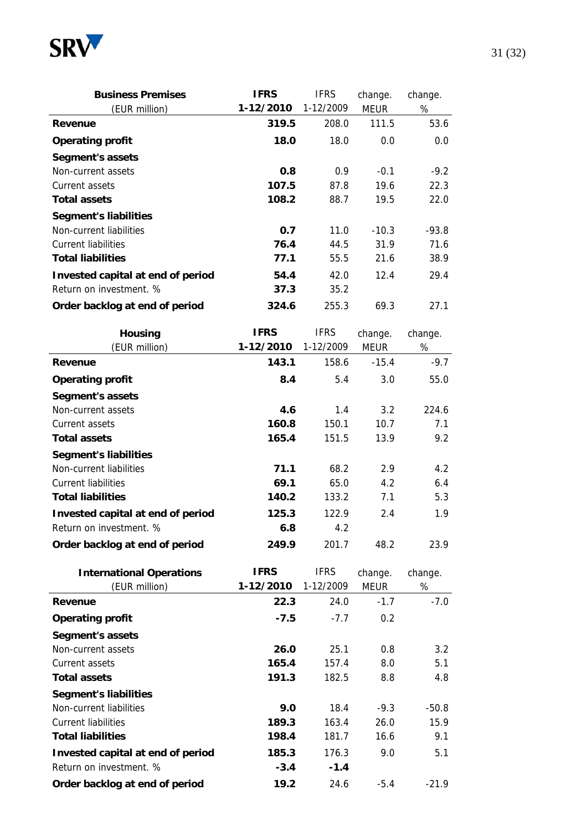

| <b>Business Premises</b>          | <b>IFRS</b> | <b>IFRS</b> | change. | change. |
|-----------------------------------|-------------|-------------|---------|---------|
| (EUR million)                     | 1-12/2010   | 1-12/2009   | MEUR    | %       |
| Revenue                           | 319.5       | 208.0       | 111.5   | 53.6    |
| <b>Operating profit</b>           | 18.0        | 18.0        | 0.0     | 0.0     |
| Segment's assets                  |             |             |         |         |
| Non-current assets                | 0.8         | 0.9         | $-0.1$  | $-9.2$  |
| Current assets                    | 107.5       | 87.8        | 19.6    | 22.3    |
| <b>Total assets</b>               | 108.2       | 88.7        | 19.5    | 22.0    |
| <b>Segment's liabilities</b>      |             |             |         |         |
| Non-current liabilities           | 0.7         | 11.0        | $-10.3$ | $-93.8$ |
| <b>Current liabilities</b>        | 76.4        | 44.5        | 31.9    | 71.6    |
| <b>Total liabilities</b>          | 77.1        | 55.5        | 21.6    | 38.9    |
| Invested capital at end of period | 54.4        | 42.0        | 12.4    | 29.4    |
| Return on investment. %           | 37.3        | 35.2        |         |         |
| Order backlog at end of period    | 324.6       | 255.3       | 69.3    | 27.1    |

| <b>Housing</b><br>(EUR million)   | <b>IFRS</b><br>1-12/2010 | <b>IFRS</b><br>1-12/2009 | change.<br><b>MEUR</b> | change.<br>% |
|-----------------------------------|--------------------------|--------------------------|------------------------|--------------|
| Revenue                           | 143.1                    | 158.6                    | $-15.4$                | $-9.7$       |
| <b>Operating profit</b>           | 8.4                      | 5.4                      | 3.0                    | 55.0         |
| Segment's assets                  |                          |                          |                        |              |
| Non-current assets                | 4.6                      | 1.4                      | 3.2                    | 224.6        |
| Current assets                    | 160.8                    | 150.1                    | 10.7                   | 7.1          |
| <b>Total assets</b>               | 165.4                    | 151.5                    | 13.9                   | 9.2          |
| <b>Segment's liabilities</b>      |                          |                          |                        |              |
| Non-current liabilities           | 71.1                     | 68.2                     | 2.9                    | 4.2          |
| <b>Current liabilities</b>        | 69.1                     | 65.0                     | 4.2                    | 6.4          |
| <b>Total liabilities</b>          | 140.2                    | 133.2                    | 7.1                    | 5.3          |
| Invested capital at end of period | 125.3                    | 122.9                    | 2.4                    | 1.9          |
| Return on investment. %           | 6.8                      | 4.2                      |                        |              |
| Order backlog at end of period    | 249.9                    | 201.7                    | 48.2                   | 23.9         |

| <b>International Operations</b>   | <b>IFRS</b> | <b>IFRS</b> | change.       | change.       |
|-----------------------------------|-------------|-------------|---------------|---------------|
| (EUR million)                     | 1-12/2010   | 1-12/2009   | <b>MEUR</b>   | %             |
| Revenue                           | 22.3        | 24.0        | $-1.7$        | $-7.0$        |
| <b>Operating profit</b>           | $-7.5$      | $-7.7$      | $0.2^{\circ}$ |               |
| Segment's assets                  |             |             |               |               |
| Non-current assets                | 26.0        | 25.1        | 0.8           | $3.2^{\circ}$ |
| Current assets                    | 165.4       | 157.4       | 8.0           | 5.1           |
| <b>Total assets</b>               | 191.3       | 182.5       | 8.8           | 4.8           |
| <b>Segment's liabilities</b>      |             |             |               |               |
| Non-current liabilities           | 9.0         | 18.4        | $-9.3$        | $-50.8$       |
| Current liabilities               | 189.3       | 163.4       | 26.0          | 15.9          |
| <b>Total liabilities</b>          | 198.4       | 181.7       | 16.6          | 9.1           |
| Invested capital at end of period | 185.3       | 176.3       | 9.0           | 5.1           |
| Return on investment. %           | $-3.4$      | $-1.4$      |               |               |
| Order backlog at end of period    | 19.2        | 24.6        | $-5.4$        | $-21.9$       |